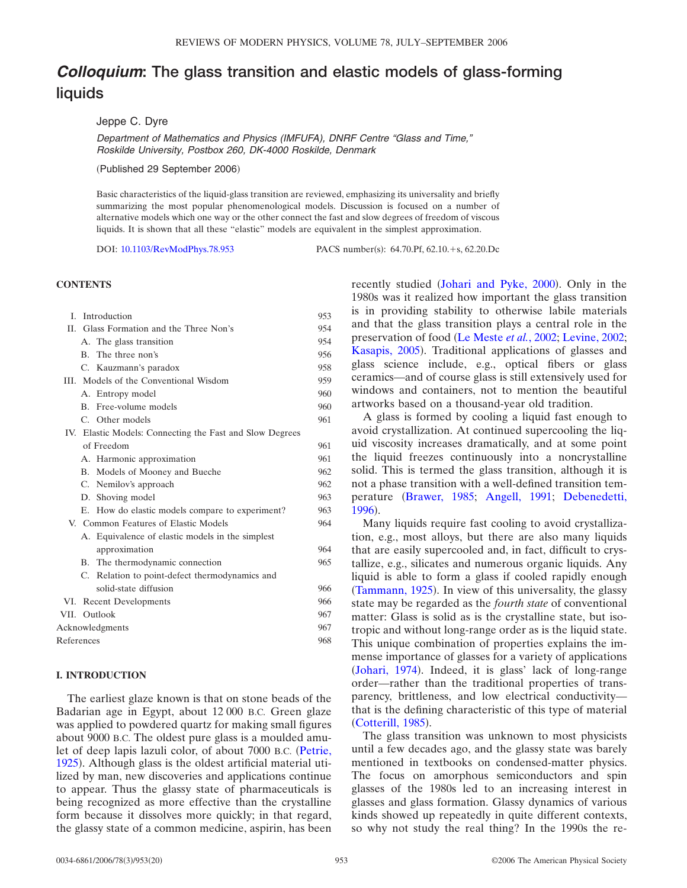# *Colloquium***: The glass transition and elastic models of glass-forming liquids**

# Jeppe C. Dyre

*Department of Mathematics and Physics (IMFUFA), DNRF Centre "Glass and Time," Roskilde University, Postbox 260, DK-4000 Roskilde, Denmark*

(Published 29 September 2006)

Basic characteristics of the liquid-glass transition are reviewed, emphasizing its universality and briefly summarizing the most popular phenomenological models. Discussion is focused on a number of alternative models which one way or the other connect the fast and slow degrees of freedom of viscous liquids. It is shown that all these "elastic" models are equivalent in the simplest approximation.

DOI: [10.1103/RevModPhys.78.953](http://dx.doi.org/10.1103/RevModPhys.78.953)

PACS number(s): 64.70.Pf, 62.10.+s, 62.20.Dc

# **CONTENTS**

| L               |  | Introduction                                             | 953 |
|-----------------|--|----------------------------------------------------------|-----|
|                 |  | II. Glass Formation and the Three Non's                  | 954 |
|                 |  | A. The glass transition                                  | 954 |
|                 |  | B. The three non's                                       | 956 |
|                 |  | C. Kauzmann's paradox                                    | 958 |
|                 |  | III. Models of the Conventional Wisdom                   | 959 |
|                 |  | A. Entropy model                                         | 960 |
|                 |  | B. Free-volume models                                    | 960 |
|                 |  | C. Other models                                          | 961 |
|                 |  | IV. Elastic Models: Connecting the Fast and Slow Degrees |     |
|                 |  | of Freedom                                               | 961 |
|                 |  | A. Harmonic approximation                                | 961 |
|                 |  | B. Models of Mooney and Bueche                           | 962 |
|                 |  | C. Nemilov's approach                                    | 962 |
|                 |  | D. Shoving model                                         | 963 |
|                 |  | E. How do elastic models compare to experiment?          | 963 |
|                 |  | V. Common Features of Elastic Models                     | 964 |
|                 |  | A. Equivalence of elastic models in the simplest         |     |
|                 |  | approximation                                            | 964 |
|                 |  | B. The thermodynamic connection                          | 965 |
|                 |  | C. Relation to point-defect thermodynamics and           |     |
|                 |  | solid-state diffusion                                    | 966 |
|                 |  | VI. Recent Developments                                  | 966 |
|                 |  | VII. Outlook                                             | 967 |
| Acknowledgments |  |                                                          | 967 |
| References      |  |                                                          | 968 |

## **I. INTRODUCTION**

The earliest glaze known is that on stone beads of the Badarian age in Egypt, about 12 000 B.C. Green glaze was applied to powdered quartz for making small figures about 9000 B.C. The oldest pure glass is a moulded amulet of deep lapis lazuli color, of about 7000 B.C. [Petrie,](#page-18-0) [1925](#page-18-0)). Although glass is the oldest artificial material utilized by man, new discoveries and applications continue to appear. Thus the glassy state of pharmaceuticals is being recognized as more effective than the crystalline form because it dissolves more quickly; in that regard, the glassy state of a common medicine, aspirin, has been

recently studied ([Johari and Pyke, 2000](#page-17-0)). Only in the 1980s was it realized how important the glass transition is in providing stability to otherwise labile materials and that the glass transition plays a central role in the preservation of food [Le Meste](#page-17-1) *et al.*, 2002; [Levine, 2002;](#page-17-2) [Kasapis, 2005](#page-17-3)). Traditional applications of glasses and glass science include, e.g., optical fibers or glass ceramics—and of course glass is still extensively used for windows and containers, not to mention the beautiful artworks based on a thousand-year old tradition.

A glass is formed by cooling a liquid fast enough to avoid crystallization. At continued supercooling the liquid viscosity increases dramatically, and at some point the liquid freezes continuously into a noncrystalline solid. This is termed the glass transition, although it is not a phase transition with a well-defined transition tem-perature ([Brawer, 1985;](#page-15-0) [Angell, 1991;](#page-15-1) [Debenedetti,](#page-16-0) [1996](#page-16-0)).

Many liquids require fast cooling to avoid crystallization, e.g., most alloys, but there are also many liquids that are easily supercooled and, in fact, difficult to crystallize, e.g., silicates and numerous organic liquids. Any liquid is able to form a glass if cooled rapidly enough ([Tammann, 1925](#page-19-0)). In view of this universality, the glassy state may be regarded as the *fourth state* of conventional matter: Glass is solid as is the crystalline state, but isotropic and without long-range order as is the liquid state. This unique combination of properties explains the immense importance of glasses for a variety of applications ([Johari, 1974](#page-17-4)). Indeed, it is glass' lack of long-range order—rather than the traditional properties of transparency, brittleness, and low electrical conductivity that is the defining characteristic of this type of material ([Cotterill, 1985](#page-16-1)).

The glass transition was unknown to most physicists until a few decades ago, and the glassy state was barely mentioned in textbooks on condensed-matter physics. The focus on amorphous semiconductors and spin glasses of the 1980s led to an increasing interest in glasses and glass formation. Glassy dynamics of various kinds showed up repeatedly in quite different contexts, so why not study the real thing? In the 1990s the re-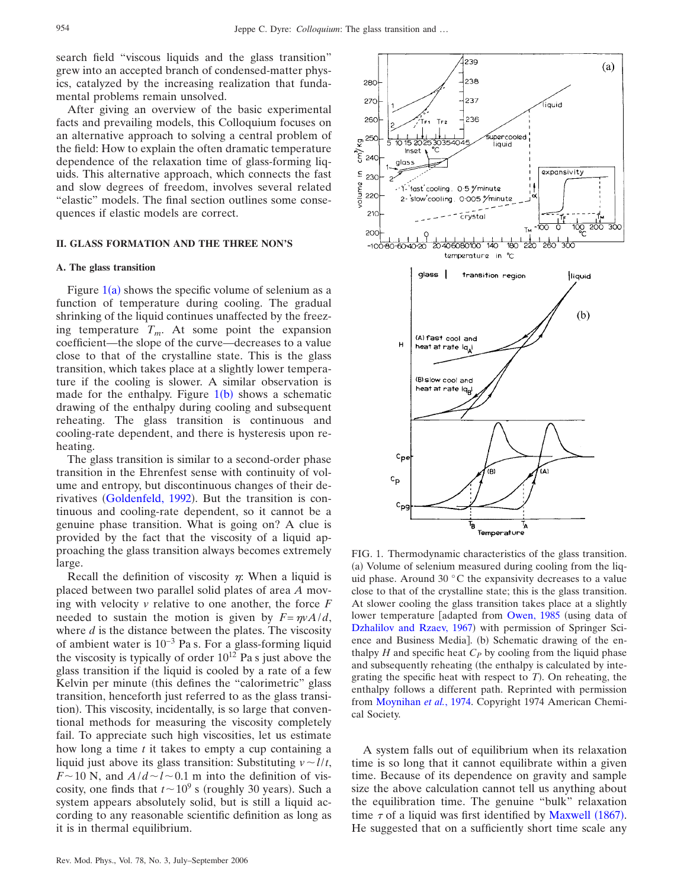<span id="page-1-0"></span>280

270

260

search field "viscous liquids and the glass transition" grew into an accepted branch of condensed-matter physics, catalyzed by the increasing realization that fundamental problems remain unsolved.

After giving an overview of the basic experimental facts and prevailing models, this Colloquium focuses on an alternative approach to solving a central problem of the field: How to explain the often dramatic temperature dependence of the relaxation time of glass-forming liquids. This alternative approach, which connects the fast and slow degrees of freedom, involves several related "elastic" models. The final section outlines some consequences if elastic models are correct.

#### **II. GLASS FORMATION AND THE THREE NON'S**

#### **A. The glass transition**

Figure  $1(a)$  $1(a)$  shows the specific volume of selenium as a function of temperature during cooling. The gradual shrinking of the liquid continues unaffected by the freezing temperature  $T_m$ . At some point the expansion coefficient—the slope of the curve—decreases to a value close to that of the crystalline state. This is the glass transition, which takes place at a slightly lower temperature if the cooling is slower. A similar observation is made for the enthalpy. Figure  $1(b)$  $1(b)$  $1(b)$  shows a schematic drawing of the enthalpy during cooling and subsequent reheating. The glass transition is continuous and cooling-rate dependent, and there is hysteresis upon reheating.

The glass transition is similar to a second-order phase transition in the Ehrenfest sense with continuity of volume and entropy, but discontinuous changes of their de-rivatives ([Goldenfeld, 1992](#page-16-2)). But the transition is continuous and cooling-rate dependent, so it cannot be a genuine phase transition. What is going on? A clue is provided by the fact that the viscosity of a liquid approaching the glass transition always becomes extremely large.

Recall the definition of viscosity  $\eta$ : When a liquid is placed between two parallel solid plates of area *A* moving with velocity *v* relative to one another, the force *F* needed to sustain the motion is given by  $F = \eta v A/d$ , where *d* is the distance between the plates. The viscosity of ambient water is 10−3 Pa s. For a glass-forming liquid the viscosity is typically of order  $10^{12}$  Pa s just above the glass transition if the liquid is cooled by a rate of a few Kelvin per minute (this defines the "calorimetric" glass transition, henceforth just referred to as the glass transition). This viscosity, incidentally, is so large that conventional methods for measuring the viscosity completely fail. To appreciate such high viscosities, let us estimate how long a time *t* it takes to empty a cup containing a liquid just above its glass transition: Substituting  $v \sim l/t$ ,  $F \sim 10$  N, and  $A/d \sim l \sim 0.1$  m into the definition of viscosity, one finds that  $t \sim 10^9$  s (roughly 30 years). Such a system appears absolutely solid, but is still a liquid according to any reasonable scientific definition as long as it is in thermal equilibrium.



239

238

237

236

 $(a)$ 

Íauid

(a) Volume of selenium measured during cooling from the liquid phase. Around 30 °C the expansivity decreases to a value close to that of the crystalline state; this is the glass transition. At slower cooling the glass transition takes place at a slightly lower temperature [adapted from [Owen, 1985](#page-18-1) (using data of [Dzhalilov and Rzaev, 1967](#page-16-3)) with permission of Springer Science and Business Media]. (b) Schematic drawing of the enthalpy  $H$  and specific heat  $C_P$  by cooling from the liquid phase and subsequently reheating (the enthalpy is calculated by integrating the specific heat with respect to  $T$ ). On reheating, the enthalpy follows a different path. Reprinted with permission from [Moynihan](#page-18-2) *et al.*, 1974. Copyright 1974 American Chemical Society.

A system falls out of equilibrium when its relaxation time is so long that it cannot equilibrate within a given time. Because of its dependence on gravity and sample size the above calculation cannot tell us anything about the equilibration time. The genuine "bulk" relaxation time  $\tau$  of a liquid was first identified by [Maxwell](#page-17-5) (1867). He suggested that on a sufficiently short time scale any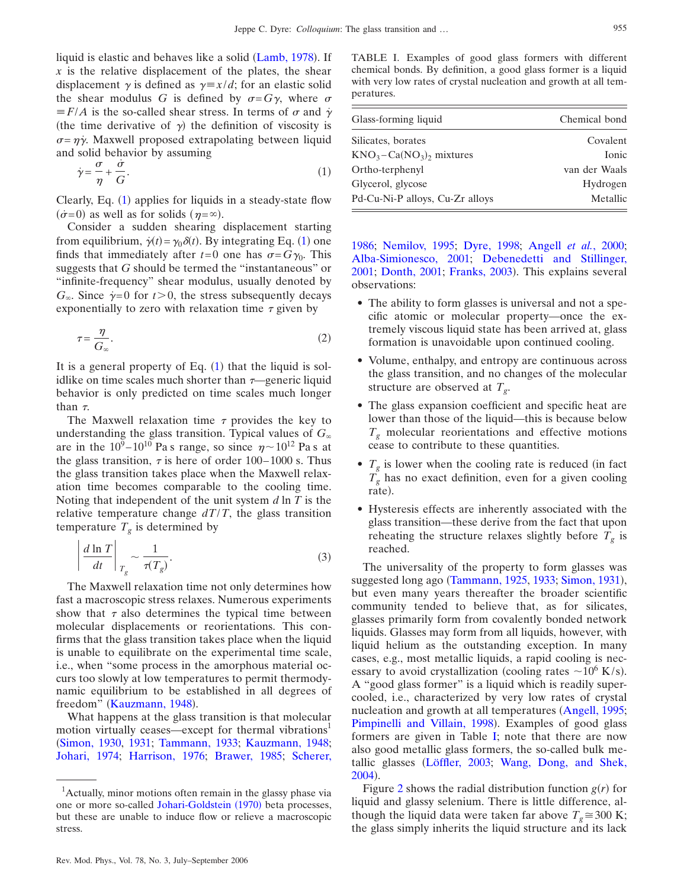liquid is elastic and behaves like a solid ([Lamb, 1978](#page-17-6)). If *x* is the relative displacement of the plates, the shear displacement  $\gamma$  is defined as  $\gamma = x/d$ ; for an elastic solid the shear modulus *G* is defined by  $\sigma = G\gamma$ , where  $\sigma$  $\equiv$  *F*/*A* is the so-called shear stress. In terms of  $\sigma$  and  $\dot{\gamma}$ (the time derivative of  $\gamma$ ) the definition of viscosity is  $\sigma = \eta \dot{\gamma}$ . Maxwell proposed extrapolating between liquid and solid behavior by assuming

<span id="page-2-0"></span>
$$
\dot{\gamma} = \frac{\sigma}{\eta} + \frac{\dot{\sigma}}{G}.\tag{1}
$$

Clearly, Eq.  $(1)$  $(1)$  $(1)$  applies for liquids in a steady-state flow  $(\dot{\sigma}=0)$  as well as for solids  $(\eta=\infty)$ .

Consider a sudden shearing displacement starting from equilibrium,  $\dot{\gamma}(t) = \gamma_0 \delta(t)$ . By integrating Eq. ([1](#page-2-0)) one finds that immediately after  $t=0$  one has  $\sigma = G\gamma_0$ . This suggests that *G* should be termed the "instantaneous" or "infinite-frequency" shear modulus, usually denoted by  $G_{\infty}$ . Since  $\dot{\gamma}=0$  for  $t>0$ , the stress subsequently decays exponentially to zero with relaxation time  $\tau$  given by

<span id="page-2-2"></span>
$$
\tau = \frac{\eta}{G_{\infty}}.\tag{2}
$$

It is a general property of Eq.  $(1)$  $(1)$  $(1)$  that the liquid is solidlike on time scales much shorter than  $\tau$ —generic liquid behavior is only predicted on time scales much longer than  $\tau$ .

The Maxwell relaxation time  $\tau$  provides the key to understanding the glass transition. Typical values of  $G_{\infty}$ are in the  $10^9 - 10^{10}$  Pa s range, so since  $\eta \sim 10^{12}$  Pa s at the glass transition,  $\tau$  is here of order 100–1000 s. Thus the glass transition takes place when the Maxwell relaxation time becomes comparable to the cooling time. Noting that independent of the unit system *d* ln *T* is the relative temperature change  $dT/T$ , the glass transition temperature  $T_g$  is determined by

$$
\left| \frac{d \ln T}{dt} \right|_{T_g} \sim \frac{1}{\tau(T_g)}.
$$
\n(3)

The Maxwell relaxation time not only determines how fast a macroscopic stress relaxes. Numerous experiments show that  $\tau$  also determines the typical time between molecular displacements or reorientations. This confirms that the glass transition takes place when the liquid is unable to equilibrate on the experimental time scale, i.e., when "some process in the amorphous material occurs too slowly at low temperatures to permit thermodynamic equilibrium to be established in all degrees of freedom" ([Kauzmann, 1948](#page-17-7)).

What happens at the glass transition is that molecular motion virtually ceases—except for thermal vibrations<sup>1</sup> [Simon, 1930,](#page-18-3) [1931;](#page-18-4) [Tammann, 1933;](#page-19-1) [Kauzmann, 1948;](#page-17-7) [Johari, 1974;](#page-17-4) [Harrison, 1976;](#page-17-8) [Brawer, 1985;](#page-15-0) [Scherer,](#page-18-5)

<span id="page-2-1"></span>

| Glass-forming liquid                             | Chemical bond |  |
|--------------------------------------------------|---------------|--|
| Silicates, borates                               | Covalent      |  |
| $\text{KNO}_3-\text{Ca}(\text{NO}_3)$ , mixtures | Ionic         |  |
| Ortho-terphenyl                                  | van der Waals |  |
| Glycerol, glycose                                | Hydrogen      |  |
| Pd-Cu-Ni-P alloys, Cu-Zr alloys                  | Metallic      |  |
|                                                  |               |  |

[1986;](#page-18-5) [Nemilov, 1995;](#page-18-6) [Dyre, 1998;](#page-16-4) [Angell](#page-15-2) *et al.*, 2000; [Alba-Simionesco, 2001;](#page-15-3) [Debenedetti and Stillinger,](#page-16-5) [2001;](#page-16-5) [Donth, 2001;](#page-16-6) [Franks, 2003](#page-16-7)). This explains several observations:

- The ability to form glasses is universal and not a specific atomic or molecular property—once the extremely viscous liquid state has been arrived at, glass formation is unavoidable upon continued cooling.
- Volume, enthalpy, and entropy are continuous across the glass transition, and no changes of the molecular structure are observed at  $T_g$ .
- The glass expansion coefficient and specific heat are lower than those of the liquid—this is because below  $T<sub>g</sub>$  molecular reorientations and effective motions cease to contribute to these quantities.
- $T_g$  is lower when the cooling rate is reduced (in fact  $T_g$  has no exact definition, even for a given cooling rate).
- Hysteresis effects are inherently associated with the glass transition—these derive from the fact that upon reheating the structure relaxes slightly before  $T_g$  is reached.

The universality of the property to form glasses was suggested long ago ([Tammann, 1925,](#page-19-0) [1933;](#page-19-1) [Simon, 1931](#page-18-4)), but even many years thereafter the broader scientific community tended to believe that, as for silicates, glasses primarily form from covalently bonded network liquids. Glasses may form from all liquids, however, with liquid helium as the outstanding exception. In many cases, e.g., most metallic liquids, a rapid cooling is necessary to avoid crystallization (cooling rates  $\sim$  10<sup>6</sup> K/s). A "good glass former" is a liquid which is readily supercooled, i.e., characterized by very low rates of crystal nucleation and growth at all temperatures ([Angell, 1995;](#page-15-4) [Pimpinelli and Villain, 1998](#page-18-7)). Examples of good glass formers are given in Table [I;](#page-2-1) note that there are now also good metallic glass formers, the so-called bulk me-tallic glasses ([Löffler, 2003;](#page-17-9) [Wang, Dong, and Shek,](#page-19-2) [2004](#page-19-2)).

Figure [2](#page-3-0) shows the radial distribution function  $g(r)$  for liquid and glassy selenium. There is little difference, although the liquid data were taken far above  $T<sub>g</sub> \approx 300$  K; the glass simply inherits the liquid structure and its lack

<sup>&</sup>lt;sup>1</sup>Actually, minor motions often remain in the glassy phase via one or more so-called [Johari-Goldstein](#page-17-10) (1970) beta processes, but these are unable to induce flow or relieve a macroscopic stress.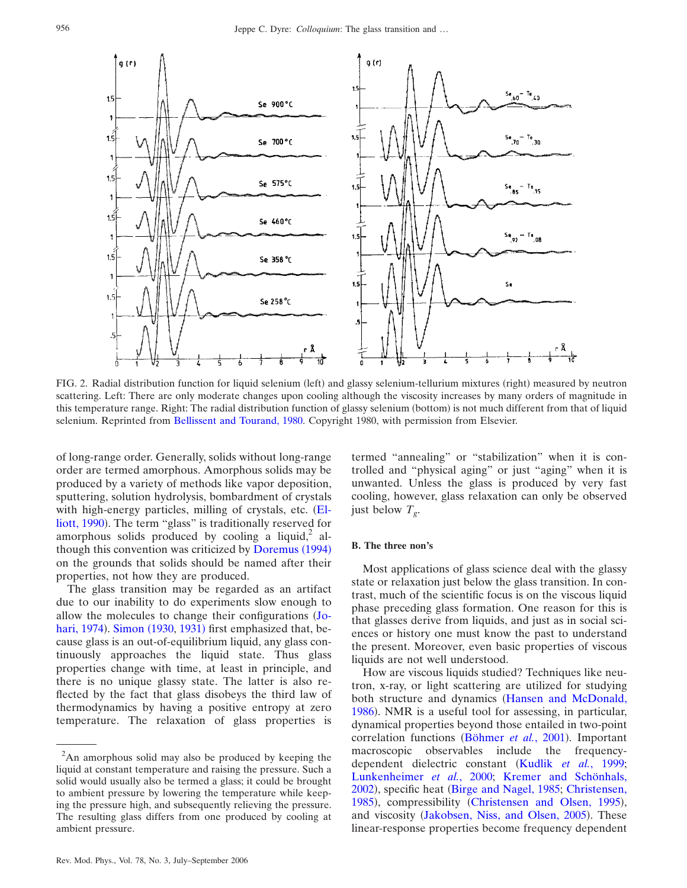<span id="page-3-0"></span>

FIG. 2. Radial distribution function for liquid selenium (left) and glassy selenium-tellurium mixtures (right) measured by neutron scattering. Left: There are only moderate changes upon cooling although the viscosity increases by many orders of magnitude in this temperature range. Right: The radial distribution function of glassy selenium (bottom) is not much different from that of liquid selenium. Reprinted from [Bellissent and Tourand, 1980.](#page-15-9) Copyright 1980, with permission from Elsevier.

of long-range order. Generally, solids without long-range order are termed amorphous. Amorphous solids may be produced by a variety of methods like vapor deposition, sputtering, solution hydrolysis, bombardment of crystals with high-energy particles, milling of crystals, etc. ([El](#page-16-8)[liott, 1990](#page-16-8)). The term "glass" is traditionally reserved for amorphous solids produced by cooling a liquid, $2$  al-though this convention was criticized by [Doremus](#page-16-9) (1994) on the grounds that solids should be named after their properties, not how they are produced.

The glass transition may be regarded as an artifact due to our inability to do experiments slow enough to allow the molecules to change their configurations ([Jo](#page-17-4)[hari, 1974](#page-17-4)). [Simon](#page-18-3) (1930, [1931](#page-18-4)) first emphasized that, because glass is an out-of-equilibrium liquid, any glass continuously approaches the liquid state. Thus glass properties change with time, at least in principle, and there is no unique glassy state. The latter is also reflected by the fact that glass disobeys the third law of thermodynamics by having a positive entropy at zero temperature. The relaxation of glass properties is

termed "annealing" or "stabilization" when it is controlled and "physical aging" or just "aging" when it is unwanted. Unless the glass is produced by very fast cooling, however, glass relaxation can only be observed just below  $T_{\varrho}$ .

#### **B. The three non's**

Most applications of glass science deal with the glassy state or relaxation just below the glass transition. In contrast, much of the scientific focus is on the viscous liquid phase preceding glass formation. One reason for this is that glasses derive from liquids, and just as in social sciences or history one must know the past to understand the present. Moreover, even basic properties of viscous liquids are not well understood.

How are viscous liquids studied? Techniques like neutron, x-ray, or light scattering are utilized for studying both structure and dynamics ([Hansen and McDonald,](#page-17-11) [1986](#page-17-11)). NMR is a useful tool for assessing, in particular, dynamical properties beyond those entailed in two-point correlation functions ([Böhmer](#page-15-5) et al., 2001). Important macroscopic observables include the frequency-dependent dielectric constant (Kudlik et al.[, 1999;](#page-17-12) [Lunkenheimer](#page-17-13) *et al.*, 2000; [Kremer and Schönhals,](#page-17-14) [2002](#page-17-14)), specific heat ([Birge and Nagel, 1985;](#page-15-6) [Christensen,](#page-15-7) [1985](#page-15-7)), compressibility ([Christensen and Olsen, 1995](#page-15-8)), and viscosity ([Jakobsen, Niss, and Olsen, 2005](#page-17-15)). These linear-response properties become frequency dependent

 $2$ An amorphous solid may also be produced by keeping the liquid at constant temperature and raising the pressure. Such a solid would usually also be termed a glass; it could be brought to ambient pressure by lowering the temperature while keeping the pressure high, and subsequently relieving the pressure. The resulting glass differs from one produced by cooling at ambient pressure.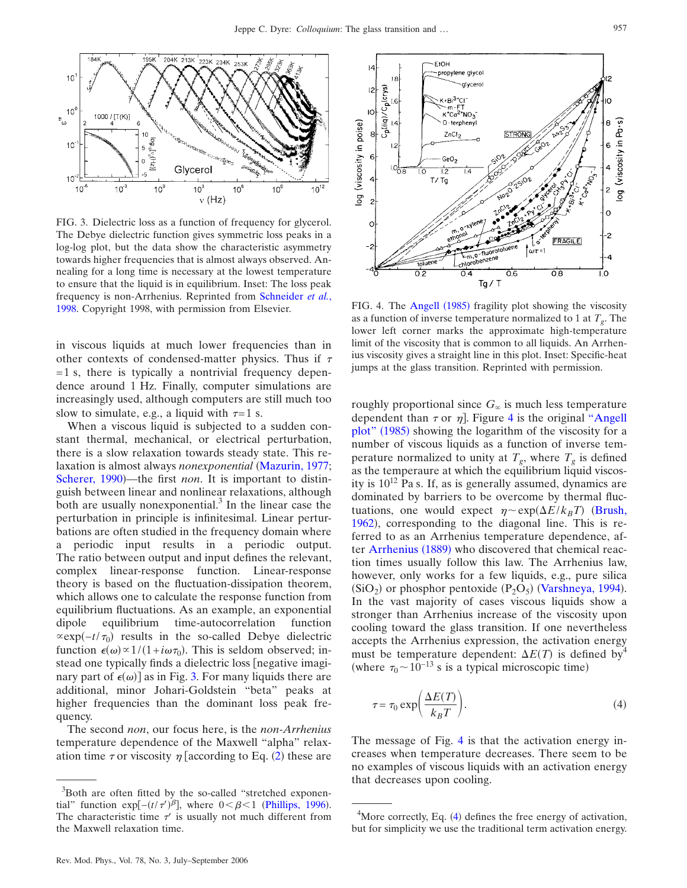<span id="page-4-0"></span>

FIG. 3. Dielectric loss as a function of frequency for glycerol. The Debye dielectric function gives symmetric loss peaks in a log-log plot, but the data show the characteristic asymmetry towards higher frequencies that is almost always observed. Annealing for a long time is necessary at the lowest temperature to ensure that the liquid is in equilibrium. Inset: The loss peak frequency is non-Arrhenius. Reprinted from [Schneider](#page-18-10) *et al.*, [1998.](#page-18-10) Copyright 1998, with permission from Elsevier.

in viscous liquids at much lower frequencies than in other contexts of condensed-matter physics. Thus if  $\tau$  $= 1$  s, there is typically a nontrivial frequency dependence around 1 Hz. Finally, computer simulations are increasingly used, although computers are still much too slow to simulate, e.g., a liquid with  $\tau=1$  s.

When a viscous liquid is subjected to a sudden constant thermal, mechanical, or electrical perturbation, there is a slow relaxation towards steady state. This relaxation is almost always *nonexponential* ([Mazurin, 1977;](#page-17-16) [Scherer, 1990](#page-18-8))—the first *non*. It is important to distinguish between linear and nonlinear relaxations, although both are usually nonexponential. $3$  In the linear case the perturbation in principle is infinitesimal. Linear perturbations are often studied in the frequency domain where a periodic input results in a periodic output. The ratio between output and input defines the relevant, complex linear-response function. Linear-response theory is based on the fluctuation-dissipation theorem, which allows one to calculate the response function from equilibrium fluctuations. As an example, an exponential dipole equilibrium time-autocorrelation function  $\propto \exp(-t/\tau_0)$  results in the so-called Debye dielectric function  $\epsilon(\omega) \propto 1/(1 + i\omega \tau_0)$ . This is seldom observed; instead one typically finds a dielectric loss  $\lceil$  negative imaginary part of  $\epsilon(\omega)$  as in Fig. [3.](#page-4-0) For many liquids there are additional, minor Johari-Goldstein "beta" peaks at higher frequencies than the dominant loss peak frequency.

The second *non*, our focus here, is the *non-Arrhenius* temperature dependence of the Maxwell "alpha" relaxation time  $\tau$  or viscosity  $\eta$  [according to Eq. ([2](#page-2-2)) these are

<span id="page-4-1"></span>

FIG. 4. The Angell (1985) fragility plot showing the viscosity as a function of inverse temperature normalized to 1 at  $T_g$ . The lower left corner marks the approximate high-temperature limit of the viscosity that is common to all liquids. An Arrhenius viscosity gives a straight line in this plot. Inset: Specific-heat jumps at the glass transition. Reprinted with permission.

roughly proportional since  $G_{\infty}$  is much less temperature dependent than  $\tau$  or  $\eta$ ]. Figure [4](#page-4-1) is the original ["Angell](#page-15-10) [plot"](#page-15-10) (1985) showing the logarithm of the viscosity for a number of viscous liquids as a function of inverse temperature normalized to unity at  $T_g$ , where  $T_g$  is defined as the temperaure at which the equilibrium liquid viscosity is  $10^{12}$  Pa s. If, as is generally assumed, dynamics are dominated by barriers to be overcome by thermal fluctuations, one would expect  $\eta \sim \exp(\Delta E / k_B T)$  ([Brush,](#page-15-11) [1962](#page-15-11)), corresponding to the diagonal line. This is referred to as an Arrhenius temperature dependence, af-ter [Arrhenius](#page-15-12) (1889) who discovered that chemical reaction times usually follow this law. The Arrhenius law, however, only works for a few liquids, e.g., pure silica  $(SiO<sub>2</sub>)$  or phosphor pentoxide  $(P<sub>2</sub>O<sub>5</sub>)$  ([Varshneya, 1994](#page-19-3)). In the vast majority of cases viscous liquids show a stronger than Arrhenius increase of the viscosity upon cooling toward the glass transition. If one nevertheless accepts the Arrhenius expression, the activation energy must be temperature dependent:  $\Delta E(T)$  is defined by<sup>4</sup> (where  $\tau_0 \sim 10^{-13}$  s is a typical microscopic time)

<span id="page-4-2"></span>
$$
\tau = \tau_0 \exp\left(\frac{\Delta E(T)}{k_B T}\right). \tag{4}
$$

The message of Fig. [4](#page-4-1) is that the activation energy increases when temperature decreases. There seem to be no examples of viscous liquids with an activation energy that decreases upon cooling.

<sup>&</sup>lt;sup>3</sup>Both are often fitted by the so-called "stretched exponential" function exp[ $-(t/\tau')^{\beta}$ ], where  $0 < \beta < 1$  ([Phillips, 1996](#page-18-9)). The characteristic time  $\tau'$  is usually not much different from the Maxwell relaxation time.

 $4$ More correctly, Eq. (4) defines the free energy of activation, but for simplicity we use the traditional term activation energy.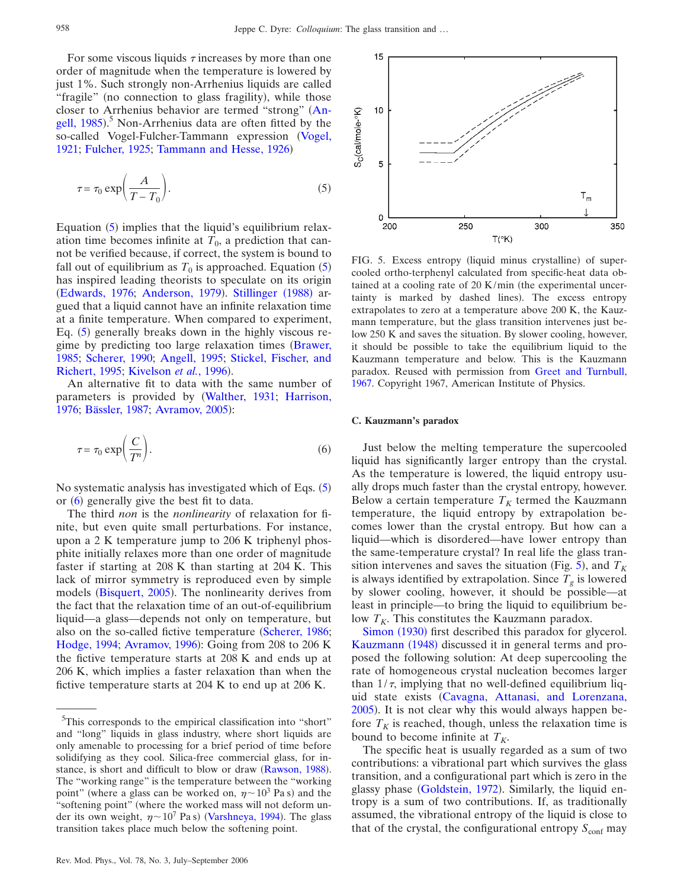For some viscous liquids  $\tau$  increases by more than one order of magnitude when the temperature is lowered by just 1%. Such strongly non-Arrhenius liquids are called "fragile" (no connection to glass fragility), while those closer to Arrhenius behavior are termed "strong" ([An](#page-15-10)[gell, 1985](#page-15-10)).<sup>5</sup> Non-Arrhenius data are often fitted by the so-called Vogel-Fulcher-Tammann expression ([Vogel,](#page-19-4) [1921;](#page-19-4) [Fulcher, 1925;](#page-16-10) [Tammann and Hesse, 1926](#page-19-5))

<span id="page-5-0"></span>
$$
\tau = \tau_0 \exp\left(\frac{A}{T - T_0}\right). \tag{5}
$$

Equation ([5](#page-5-0)) implies that the liquid's equilibrium relaxation time becomes infinite at  $T_0$ , a prediction that cannot be verified because, if correct, the system is bound to fall out of equilibrium as  $T_0$  is approached. Equation  $(5)$  $(5)$  $(5)$ has inspired leading theorists to speculate on its origin ([Edwards, 1976;](#page-16-11) [Anderson, 1979](#page-15-13)). [Stillinger](#page-19-6) (1988) argued that a liquid cannot have an infinite relaxation time at a finite temperature. When compared to experiment, Eq. ([5](#page-5-0)) generally breaks down in the highly viscous re-gime by predicting too large relaxation times ([Brawer,](#page-15-0) [1985;](#page-15-0) [Scherer, 1990;](#page-18-8) [Angell, 1995;](#page-15-4) [Stickel, Fischer, and](#page-19-7) [Richert, 1995;](#page-19-7) [Kivelson](#page-17-17) et al., 1996).

An alternative fit to data with the same number of parameters is provided by [Walther, 1931;](#page-19-8) [Harrison,](#page-17-8) [1976;](#page-17-8) [Bässler, 1987;](#page-15-14) [Avramov, 2005](#page-15-15)):

<span id="page-5-1"></span>
$$
\tau = \tau_0 \exp\left(\frac{C}{T^n}\right). \tag{6}
$$

No systematic analysis has investigated which of Eqs. ([5](#page-5-0)) or ([6](#page-5-1)) generally give the best fit to data.

The third *non* is the *nonlinearity* of relaxation for finite, but even quite small perturbations. For instance, upon a 2 K temperature jump to 206 K triphenyl phosphite initially relaxes more than one order of magnitude faster if starting at 208 K than starting at 204 K. This lack of mirror symmetry is reproduced even by simple models ([Bisquert, 2005](#page-15-16)). The nonlinearity derives from the fact that the relaxation time of an out-of-equilibrium liquid—a glass—depends not only on temperature, but also on the so-called fictive temperature ([Scherer, 1986;](#page-18-5) [Hodge, 1994;](#page-17-18) [Avramov, 1996](#page-15-17)): Going from 208 to 206 K the fictive temperature starts at 208 K and ends up at 206 K, which implies a faster relaxation than when the fictive temperature starts at 204 K to end up at 206 K.

<span id="page-5-2"></span>

FIG. 5. Excess entropy (liquid minus crystalline) of supercooled ortho-terphenyl calculated from specific-heat data obtained at a cooling rate of  $20$  K/min (the experimental uncertainty is marked by dashed lines). The excess entropy extrapolates to zero at a temperature above 200 K, the Kauzmann temperature, but the glass transition intervenes just below 250 K and saves the situation. By slower cooling, however, it should be possible to take the equilibrium liquid to the Kauzmann temperature and below. This is the Kauzmann paradox. Reused with permission from [Greet and Turnbull,](#page-16-13) [1967.](#page-16-13) Copyright 1967, American Institute of Physics.

## **C. Kauzmann's paradox**

Just below the melting temperature the supercooled liquid has significantly larger entropy than the crystal. As the temperature is lowered, the liquid entropy usually drops much faster than the crystal entropy, however. Below a certain temperature  $T_K$  termed the Kauzmann temperature, the liquid entropy by extrapolation becomes lower than the crystal entropy. But how can a liquid—which is disordered—have lower entropy than the same-temperature crystal? In real life the glass tran-sition intervenes and saves the situation (Fig. [5](#page-5-2)), and  $T_K$ is always identified by extrapolation. Since  $T_g$  is lowered by slower cooling, however, it should be possible—at least in principle—to bring the liquid to equilibrium below  $T_K$ . This constitutes the Kauzmann paradox.

[Simon](#page-18-3) (1930) first described this paradox for glycerol. [Kauzmann](#page-17-7) (1948) discussed it in general terms and proposed the following solution: At deep supercooling the rate of homogeneous crystal nucleation becomes larger than  $1/\tau$ , implying that no well-defined equilibrium liquid state exists [Cavagna, Attanasi, and Lorenzana,](#page-15-18) [2005](#page-15-18)). It is not clear why this would always happen before  $T_K$  is reached, though, unless the relaxation time is bound to become infinite at  $T_K$ .

The specific heat is usually regarded as a sum of two contributions: a vibrational part which survives the glass transition, and a configurational part which is zero in the glassy phase ([Goldstein, 1972](#page-16-12)). Similarly, the liquid entropy is a sum of two contributions. If, as traditionally assumed, the vibrational entropy of the liquid is close to that of the crystal, the configurational entropy  $S_{\text{conf}}$  may

<sup>&</sup>lt;sup>5</sup>This corresponds to the empirical classification into "short" and "long" liquids in glass industry, where short liquids are only amenable to processing for a brief period of time before solidifying as they cool. Silica-free commercial glass, for in-stance, is short and difficult to blow or draw ([Rawson, 1988](#page-18-11)). The "working range" is the temperature between the "working point" (where a glass can be worked on,  $\eta \sim 10^3$  Pa s) and the "softening point" (where the worked mass will not deform under its own weight,  $\eta \sim 10^7$  Pa s) ([Varshneya, 1994](#page-19-3)). The glass transition takes place much below the softening point.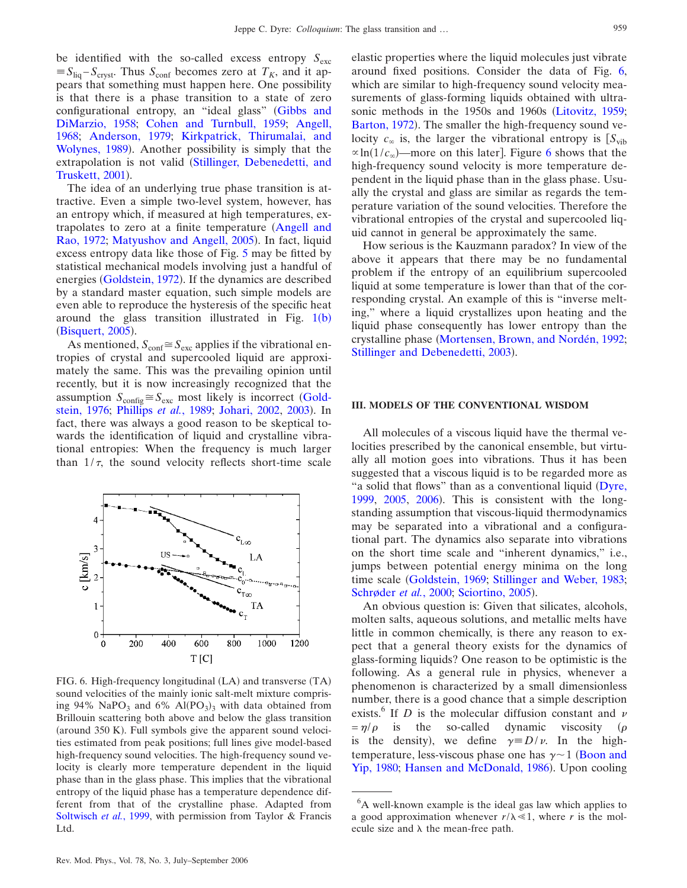be identified with the so-called excess entropy  $S_{\text{exc}}$  $\equiv S_{\text{liq}} - S_{\text{crvst}}$ . Thus  $S_{\text{conf}}$  becomes zero at  $T_K$ , and it appears that something must happen here. One possibility is that there is a phase transition to a state of zero configurational entropy, an "ideal glass" [Gibbs and](#page-16-14) [DiMarzio, 1958;](#page-16-14) [Cohen and Turnbull, 1959;](#page-15-19) [Angell,](#page-15-20) [1968;](#page-15-20) [Anderson, 1979;](#page-15-13) [Kirkpatrick, Thirumalai, and](#page-17-19) [Wolynes, 1989](#page-17-19)). Another possibility is simply that the extrapolation is not valid ([Stillinger, Debenedetti, and](#page-19-9) [Truskett, 2001](#page-19-9)).

The idea of an underlying true phase transition is attractive. Even a simple two-level system, however, has an entropy which, if measured at high temperatures, ex-trapolates to zero at a finite temperature ([Angell and](#page-15-21) [Rao, 1972;](#page-15-21) [Matyushov and Angell, 2005](#page-17-20)). In fact, liquid excess entropy data like those of Fig. [5](#page-5-2) may be fitted by statistical mechanical models involving just a handful of energies ([Goldstein, 1972](#page-16-12)). If the dynamics are described by a standard master equation, such simple models are even able to reproduce the hysteresis of the specific heat around the glass transition illustrated in Fig.  $1(b)$  $1(b)$  $1(b)$ ([Bisquert, 2005](#page-15-16)).

As mentioned,  $S_{\text{conf}} \cong S_{\text{exc}}$  applies if the vibrational entropies of crystal and supercooled liquid are approximately the same. This was the prevailing opinion until recently, but it is now increasingly recognized that the assumption  $S_{\text{config}} \cong S_{\text{exc}}$  most likely is incorrect ([Gold](#page-16-15)[stein, 1976;](#page-16-15) [Phillips](#page-18-12) *et al.*, 1989; [Johari, 2002,](#page-17-21) [2003](#page-17-22)). In fact, there was always a good reason to be skeptical towards the identification of liquid and crystalline vibrational entropies: When the frequency is much larger than  $1/\tau$ , the sound velocity reflects short-time scale

<span id="page-6-0"></span>

FIG. 6. High-frequency longitudinal (LA) and transverse (TA) sound velocities of the mainly ionic salt-melt mixture comprising  $94\%$  NaPO<sub>3</sub> and  $6\%$  Al(PO<sub>3</sub>)<sub>3</sub> with data obtained from Brillouin scattering both above and below the glass transition (around 350 K). Full symbols give the apparent sound velocities estimated from peak positions; full lines give model-based high-frequency sound velocities. The high-frequency sound velocity is clearly more temperature dependent in the liquid phase than in the glass phase. This implies that the vibrational entropy of the liquid phase has a temperature dependence different from that of the crystalline phase. Adapted from [Soltwisch](#page-19-12) *et al.*, 1999, with permission from Taylor & Francis Ltd.

elastic properties where the liquid molecules just vibrate around fixed positions. Consider the data of Fig. [6,](#page-6-0) which are similar to high-frequency sound velocity measurements of glass-forming liquids obtained with ultrasonic methods in the 1950s and 1960s [Litovitz, 1959;](#page-17-23) [Barton, 1972](#page-15-22)). The smaller the high-frequency sound velocity  $c_{\infty}$  is, the larger the vibrational entropy is  $[S_{\text{vib}}]$  $\propto$ ln(1/ $c_{\infty}$ )—more on this later]. Figure [6](#page-6-0) shows that the high-frequency sound velocity is more temperature dependent in the liquid phase than in the glass phase. Usually the crystal and glass are similar as regards the temperature variation of the sound velocities. Therefore the vibrational entropies of the crystal and supercooled liquid cannot in general be approximately the same.

How serious is the Kauzmann paradox? In view of the above it appears that there may be no fundamental problem if the entropy of an equilibrium supercooled liquid at some temperature is lower than that of the corresponding crystal. An example of this is "inverse melting," where a liquid crystallizes upon heating and the liquid phase consequently has lower entropy than the crystalline phase [Mortensen, Brown, and Nordén, 1992;](#page-17-24) [Stillinger and Debenedetti, 2003](#page-19-10)).

## **III. MODELS OF THE CONVENTIONAL WISDOM**

All molecules of a viscous liquid have the thermal velocities prescribed by the canonical ensemble, but virtually all motion goes into vibrations. Thus it has been suggested that a viscous liquid is to be regarded more as "a solid that flows" than as a conventional liquid ([Dyre,](#page-16-16) [1999,](#page-16-16) [2005,](#page-16-17) [2006](#page-16-18)). This is consistent with the longstanding assumption that viscous-liquid thermodynamics may be separated into a vibrational and a configurational part. The dynamics also separate into vibrations on the short time scale and "inherent dynamics," i.e., jumps between potential energy minima on the long time scale [Goldstein, 1969;](#page-16-19) [Stillinger and Weber, 1983;](#page-19-11) [Schrøder](#page-18-13) et al., 2000; [Sciortino, 2005](#page-18-14)).

An obvious question is: Given that silicates, alcohols, molten salts, aqueous solutions, and metallic melts have little in common chemically, is there any reason to expect that a general theory exists for the dynamics of glass-forming liquids? One reason to be optimistic is the following. As a general rule in physics, whenever a phenomenon is characterized by a small dimensionless number, there is a good chance that a simple description exists.<sup>6</sup> If *D* is the molecular diffusion constant and  $\nu$  $=\eta/\rho$  is the so-called dynamic viscosity  $(\rho$ is the density), we define  $\gamma = D/\nu$ . In the hightemperature, less-viscous phase one has  $\gamma \sim 1$  ([Boon and](#page-15-23) [Yip, 1980;](#page-15-23) [Hansen and McDonald, 1986](#page-17-11)). Upon cooling

<sup>&</sup>lt;sup>6</sup>A well-known example is the ideal gas law which applies to a good approximation whenever  $r/\lambda \ll 1$ , where *r* is the molecule size and  $\lambda$  the mean-free path.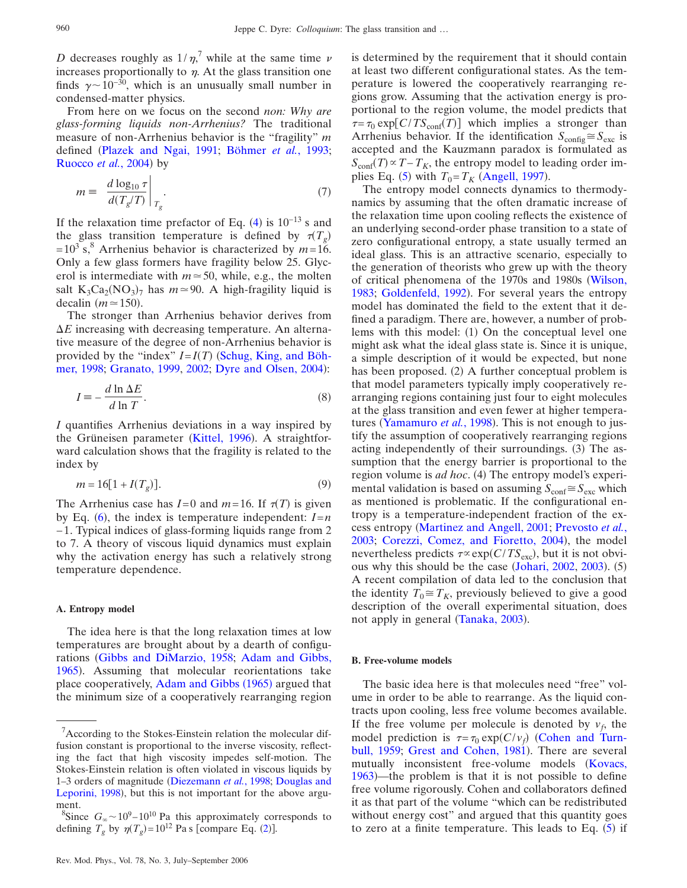*D* decreases roughly as  $1/\eta$ ,<sup>7</sup> while at the same time  $\nu$ increases proportionally to  $\eta$ . At the glass transition one finds  $\gamma \sim 10^{-30}$ , which is an unusually small number in condensed-matter physics.

From here on we focus on the second *non: Why are glass-forming liquids non-Arrhenius?* The traditional measure of non-Arrhenius behavior is the "fragility" *m* defined [Plazek and Ngai, 1991;](#page-18-15) [Böhmer](#page-15-24) *et al.*, 1993; [Ruocco](#page-18-16) et al., 2004) by

$$
m \equiv \left. \frac{d \log_{10} \tau}{d(T_g/T)} \right|_{T_g}.
$$
 (7)

If the relaxation time prefactor of Eq.  $(4)$  $(4)$  $(4)$  is 10<sup>-13</sup> s and the glass transition temperature is defined by  $\tau(T_g)$  $= 10^3$  s,<sup>8</sup> Arrhenius behavior is characterized by  $m=16$ . Only a few glass formers have fragility below 25. Glycerol is intermediate with  $m \approx 50$ , while, e.g., the molten salt  $K_3Ca_2(NO_3)_7$  has  $m \approx 90$ . A high-fragility liquid is decalin  $(m \approx 150)$ .

The stronger than Arrhenius behavior derives from  $\Delta E$  increasing with decreasing temperature. An alternative measure of the degree of non-Arrhenius behavior is provided by the "index"  $I = I(T)$  ([Schug, King, and Böh](#page-18-17)[mer, 1998;](#page-18-17) [Granato, 1999,](#page-16-20) [2002;](#page-16-21) [Dyre and Olsen, 2004](#page-18-10)):

<span id="page-7-0"></span>
$$
I = -\frac{d \ln \Delta E}{d \ln T}.
$$
\n(8)

*I* quantifies Arrhenius deviations in a way inspired by the Grüneisen parameter ([Kittel, 1996](#page-17-25)). A straightforward calculation shows that the fragility is related to the index by

$$
m = 16[1 + I(T_g)].
$$
\n(9)

The Arrhenius case has  $I=0$  and  $m=16$ . If  $\tau(T)$  is given by Eq.  $(6)$  $(6)$  $(6)$ , the index is temperature independent:  $I=n$ − 1. Typical indices of glass-forming liquids range from 2 to 7. A theory of viscous liquid dynamics must explain why the activation energy has such a relatively strong temperature dependence.

#### **A. Entropy model**

The idea here is that the long relaxation times at low temperatures are brought about by a dearth of configurations [Gibbs and DiMarzio, 1958;](#page-16-14) [Adam and Gibbs,](#page-15-25) [1965](#page-15-25)). Assuming that molecular reorientations take place cooperatively, [Adam and Gibbs](#page-15-25) (1965) argued that the minimum size of a cooperatively rearranging region

Rev. Mod. Phys., Vol. 78, No. 3, July–September 2006

is determined by the requirement that it should contain at least two different configurational states. As the temperature is lowered the cooperatively rearranging regions grow. Assuming that the activation energy is proportional to the region volume, the model predicts that  $\tau = \tau_0 \exp[ C/T S_{\text{conf}}(T) ]$  which implies a stronger than Arrhenius behavior. If the identification  $S_{\text{config}} \cong S_{\text{exc}}$  is accepted and the Kauzmann paradox is formulated as  $S_{\text{conf}}(T) \propto T - T_K$ , the entropy model to leading order im-plies Eq. ([5](#page-5-0)) with  $T_0 = T_K$  ([Angell, 1997](#page-15-26)).

The entropy model connects dynamics to thermodynamics by assuming that the often dramatic increase of the relaxation time upon cooling reflects the existence of an underlying second-order phase transition to a state of zero configurational entropy, a state usually termed an ideal glass. This is an attractive scenario, especially to the generation of theorists who grew up with the theory of critical phenomena of the 1970s and 1980s [Wilson,](#page-19-13) [1983;](#page-19-13) [Goldenfeld, 1992](#page-16-2)). For several years the entropy model has dominated the field to the extent that it defined a paradigm. There are, however, a number of problems with this model: (1) On the conceptual level one might ask what the ideal glass state is. Since it is unique, a simple description of it would be expected, but none has been proposed. (2) A further conceptual problem is that model parameters typically imply cooperatively rearranging regions containing just four to eight molecules at the glass transition and even fewer at higher tempera-tures ([Yamamuro](#page-19-14) et al., 1998). This is not enough to justify the assumption of cooperatively rearranging regions acting independently of their surroundings. (3) The assumption that the energy barrier is proportional to the region volume is *ad hoc*. (4) The entropy model's experimental validation is based on assuming  $S_{\text{conf}} \cong S_{\text{exc}}$  which as mentioned is problematic. If the configurational entropy is a temperature-independent fraction of the excess entropy [Martinez and Angell, 2001;](#page-17-26) [Prevosto](#page-18-18) *et al.*, [2003;](#page-18-18) [Corezzi, Comez, and Fioretto, 2004](#page-15-27)), the model nevertheless predicts  $\tau \propto \exp(C/T S_{\text{exc}})$ , but it is not obvi-ous why this should be the case ([Johari, 2002,](#page-17-21) [2003](#page-17-22)). (5) A recent compilation of data led to the conclusion that the identity  $T_0 \cong T_K$ , previously believed to give a good description of the overall experimental situation, does not apply in general ([Tanaka, 2003](#page-19-15)).

# **B. Free-volume models**

The basic idea here is that molecules need "free" volume in order to be able to rearrange. As the liquid contracts upon cooling, less free volume becomes available. If the free volume per molecule is denoted by  $v_f$ , the model prediction is  $\tau = \tau_0 \exp(C/\nu_f)$  ([Cohen and Turn](#page-15-19)[bull, 1959;](#page-15-19) [Grest and Cohen, 1981](#page-16-22)). There are several mutually inconsistent free-volume models ([Kovacs,](#page-17-27) [1963](#page-17-27))—the problem is that it is not possible to define free volume rigorously. Cohen and collaborators defined it as that part of the volume "which can be redistributed without energy cost" and argued that this quantity goes to zero at a finite temperature. This leads to Eq.  $(5)$  $(5)$  $(5)$  if

 $7$ According to the Stokes-Einstein relation the molecular diffusion constant is proportional to the inverse viscosity, reflecting the fact that high viscosity impedes self-motion. The Stokes-Einstein relation is often violated in viscous liquids by 1–3 orders of magnitude [Diezemann](#page-16-23) *et al.*, 1998; [Douglas and](#page-16-24) [Leporini, 1998](#page-16-24)), but this is not important for the above argument.

<sup>&</sup>lt;sup>8</sup>Since  $G_{\infty}$  ~ 10<sup>9</sup> – 10<sup>10</sup> Pa this approximately corresponds to defining  $T_g$  by  $\eta(T_g) = 10^{12}$  $\eta(T_g) = 10^{12}$  $\eta(T_g) = 10^{12}$  Pa s [compare Eq. (2)].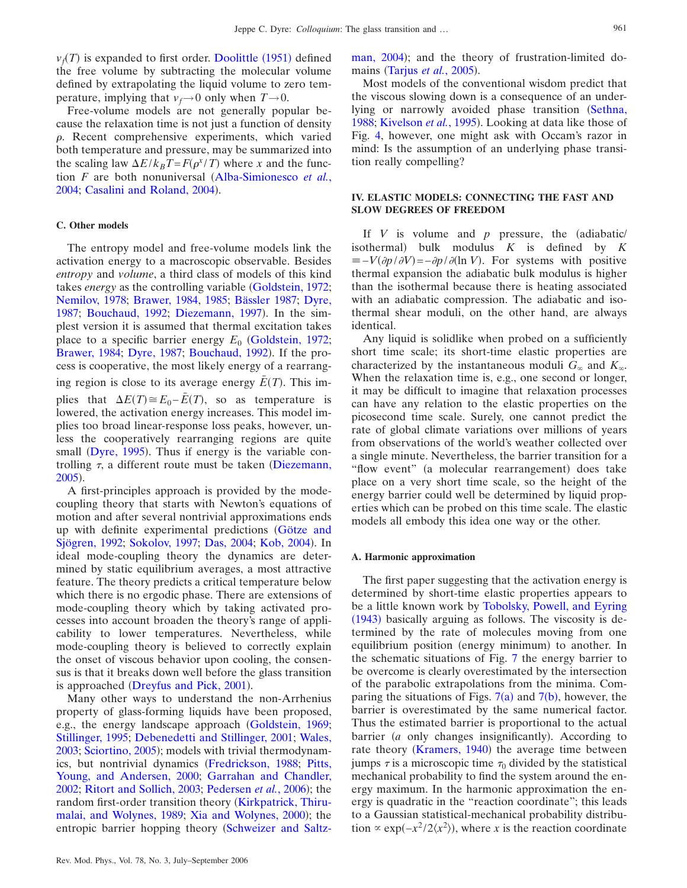$v_f(T)$  is expanded to first order. [Doolittle](#page-16-25) (1951) defined the free volume by subtracting the molecular volume defined by extrapolating the liquid volume to zero temperature, implying that  $v_f \rightarrow 0$  only when  $T \rightarrow 0$ .

Free-volume models are not generally popular because the relaxation time is not just a function of density  $\rho$ . Recent comprehensive experiments, which varied both temperature and pressure, may be summarized into the scaling law  $\Delta E / k_B T = F(\rho^x / T)$  where *x* and the function *F* are both nonuniversal ([Alba-Simionesco](#page-15-28) *et al.*, [2004;](#page-15-28) [Casalini and Roland, 2004](#page-15-29)).

## **C. Other models**

The entropy model and free-volume models link the activation energy to a macroscopic observable. Besides *entropy* and *volume*, a third class of models of this kind takes *energy* as the controlling variable ([Goldstein, 1972;](#page-16-12) [Nemilov, 1978;](#page-18-19) [Brawer, 1984,](#page-15-30) [1985;](#page-15-0) [Bässler 1987;](#page-15-14) [Dyre,](#page-16-26) [1987;](#page-16-26) [Bouchaud, 1992;](#page-15-31) [Diezemann, 1997](#page-16-27)). In the simplest version it is assumed that thermal excitation takes place to a specific barrier energy  $E_0$  ([Goldstein, 1972;](#page-16-12) [Brawer, 1984;](#page-15-30) [Dyre, 1987;](#page-16-26) [Bouchaud, 1992](#page-15-31)). If the process is cooperative, the most likely energy of a rearranging region is close to its average energy  $\bar{E}(T)$ . This implies that  $\Delta E(T) \cong E_0 - \bar{E}(T)$ , so as temperature is lowered, the activation energy increases. This model implies too broad linear-response loss peaks, however, unless the cooperatively rearranging regions are quite small ([Dyre, 1995](#page-16-28)). Thus if energy is the variable controlling  $\tau$ , a different route must be taken ([Diezemann,](#page-16-29) [2005](#page-16-29)).

A first-principles approach is provided by the modecoupling theory that starts with Newton's equations of motion and after several nontrivial approximations ends up with definite experimental predictions [Götze and](#page-16-30) [Sjögren, 1992;](#page-16-30) [Sokolov, 1997;](#page-18-20) [Das, 2004;](#page-16-31) [Kob, 2004](#page-17-28)). In ideal mode-coupling theory the dynamics are determined by static equilibrium averages, a most attractive feature. The theory predicts a critical temperature below which there is no ergodic phase. There are extensions of mode-coupling theory which by taking activated processes into account broaden the theory's range of applicability to lower temperatures. Nevertheless, while mode-coupling theory is believed to correctly explain the onset of viscous behavior upon cooling, the consensus is that it breaks down well before the glass transition is approached ([Dreyfus and Pick, 2001](#page-16-32)).

Many other ways to understand the non-Arrhenius property of glass-forming liquids have been proposed, e.g., the energy landscape approach [Goldstein, 1969;](#page-16-19) [Stillinger, 1995;](#page-19-16) [Debenedetti and Stillinger, 2001;](#page-16-5) [Wales,](#page-19-17) [2003;](#page-19-17) [Sciortino, 2005](#page-18-14)); models with trivial thermodynam-ics, but nontrivial dynamics ([Fredrickson, 1988;](#page-16-33) [Pitts,](#page-18-21) [Young, and Andersen, 2000;](#page-18-21) [Garrahan and Chandler,](#page-16-34) [2002;](#page-16-34) [Ritort and Sollich, 2003;](#page-18-22) [Pedersen](#page-18-23) et al., 2006); the random first-order transition theory ([Kirkpatrick, Thiru](#page-17-19)[malai, and Wolynes, 1989;](#page-17-19) [Xia and Wolynes, 2000](#page-19-18)); the entropic barrier hopping theory ([Schweizer and Saltz-](#page-18-24) [man, 2004](#page-18-24)); and the theory of frustration-limited do-mains ([Tarjus](#page-19-19) *et al.*, 2005).

Most models of the conventional wisdom predict that the viscous slowing down is a consequence of an under-lying or narrowly avoided phase transition ([Sethna,](#page-18-25) [1988;](#page-18-25) [Kivelson](#page-17-29) et al., 1995). Looking at data like those of Fig. [4,](#page-4-1) however, one might ask with Occam's razor in mind: Is the assumption of an underlying phase transition really compelling?

## **IV. ELASTIC MODELS: CONNECTING THE FAST AND SLOW DEGREES OF FREEDOM**

If  $V$  is volume and  $p$  pressure, the (adiabatic/ isothermal) bulk modulus  $K$  is defined by  $K$  $\equiv -V(\partial p/\partial V) = -\partial p/\partial (\ln V)$ . For systems with positive thermal expansion the adiabatic bulk modulus is higher than the isothermal because there is heating associated with an adiabatic compression. The adiabatic and isothermal shear moduli, on the other hand, are always identical.

Any liquid is solidlike when probed on a sufficiently short time scale; its short-time elastic properties are characterized by the instantaneous moduli  $G_{\infty}$  and  $K_{\infty}$ . When the relaxation time is, e.g., one second or longer, it may be difficult to imagine that relaxation processes can have any relation to the elastic properties on the picosecond time scale. Surely, one cannot predict the rate of global climate variations over millions of years from observations of the world's weather collected over a single minute. Nevertheless, the barrier transition for a "flow event" (a molecular rearrangement) does take place on a very short time scale, so the height of the energy barrier could well be determined by liquid properties which can be probed on this time scale. The elastic models all embody this idea one way or the other.

#### **A. Harmonic approximation**

The first paper suggesting that the activation energy is determined by short-time elastic properties appears to be a little known work by [Tobolsky, Powell, and Eyring](#page-19-20) ([1943](#page-19-20)) basically arguing as follows. The viscosity is determined by the rate of molecules moving from one equilibrium position (energy minimum) to another. In the schematic situations of Fig. [7](#page-9-0) the energy barrier to be overcome is clearly overestimated by the intersection of the parabolic extrapolations from the minima. Comparing the situations of Figs.  $7(a)$  $7(a)$  and  $7(b)$  $7(b)$  $7(b)$ , however, the barrier is overestimated by the same numerical factor. Thus the estimated barrier is proportional to the actual barrier (a only changes insignificantly). According to rate theory ([Kramers, 1940](#page-17-30)) the average time between jumps  $\tau$  is a microscopic time  $\tau_0$  divided by the statistical mechanical probability to find the system around the energy maximum. In the harmonic approximation the energy is quadratic in the "reaction coordinate"; this leads to a Gaussian statistical-mechanical probability distribution  $\propto$  exp( $-x^2/2\langle x^2 \rangle$ ), where *x* is the reaction coordinate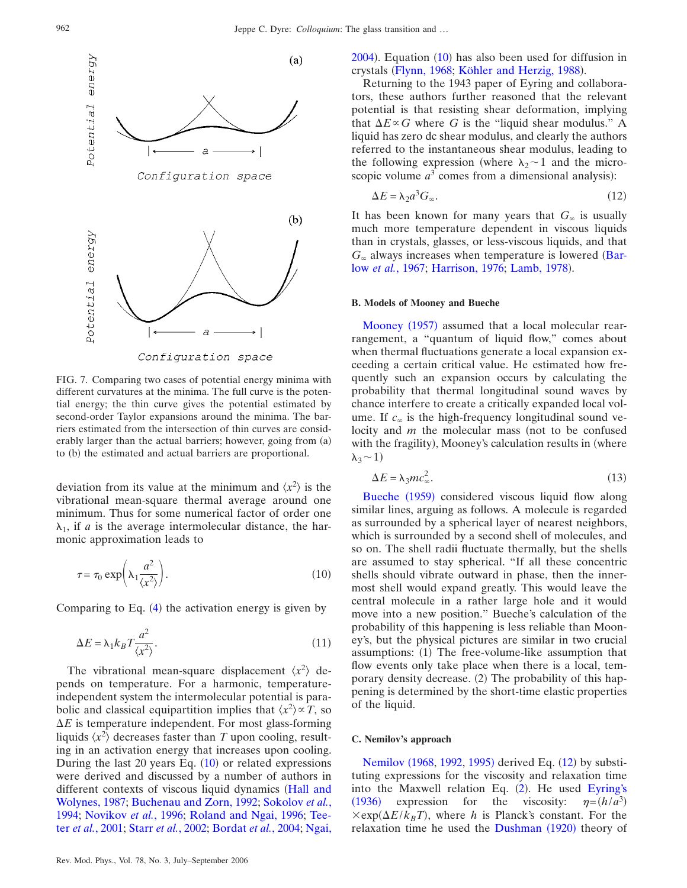<span id="page-9-0"></span>

FIG. 7. Comparing two cases of potential energy minima with different curvatures at the minima. The full curve is the potential energy; the thin curve gives the potential estimated by second-order Taylor expansions around the minima. The barriers estimated from the intersection of thin curves are considerably larger than the actual barriers; however, going from (a) to (b) the estimated and actual barriers are proportional.

deviation from its value at the minimum and  $\langle x^2 \rangle$  is the vibrational mean-square thermal average around one minimum. Thus for some numerical factor of order one  $\lambda_1$ , if *a* is the average intermolecular distance, the harmonic approximation leads to

<span id="page-9-1"></span>
$$
\tau = \tau_0 \exp\left(\lambda_1 \frac{a^2}{\langle x^2 \rangle}\right). \tag{10}
$$

<span id="page-9-4"></span>Comparing to Eq.  $(4)$  $(4)$  $(4)$  the activation energy is given by

$$
\Delta E = \lambda_1 k_B T \frac{a^2}{\langle x^2 \rangle}.
$$
\n(11)

The vibrational mean-square displacement  $\langle x^2 \rangle$  depends on temperature. For a harmonic, temperatureindependent system the intermolecular potential is parabolic and classical equipartition implies that  $\langle x^2 \rangle \propto T$ , so  $\Delta E$  is temperature independent. For most glass-forming liquids  $\langle x^2 \rangle$  decreases faster than *T* upon cooling, resulting in an activation energy that increases upon cooling. During the last 20 years Eq.  $(10)$  $(10)$  $(10)$  or related expressions were derived and discussed by a number of authors in different contexts of viscous liquid dynamics ([Hall and](#page-17-4) [Wolynes, 1987;](#page-17-4) [Buchenau and Zorn, 1992;](#page-15-32) [Sokolov](#page-18-26) *et al.*, [1994;](#page-18-26) [Novikov](#page-18-27) *et al.*, 1996; [Roland and Ngai, 1996;](#page-18-28) [Tee](#page-19-21)ter *et al.*[, 2001;](#page-19-21) Starr *et al.*[, 2002;](#page-19-22) [Bordat](#page-15-33) *et al.*, 2004; [Ngai,](#page-18-29)  $2004$ ). Equation  $(10)$  $(10)$  $(10)$  has also been used for diffusion in crystals ([Flynn, 1968;](#page-16-35) [Köhler and Herzig, 1988](#page-17-31)).

Returning to the 1943 paper of Eyring and collaborators, these authors further reasoned that the relevant potential is that resisting shear deformation, implying that  $\Delta E \propto G$  where G is the "liquid shear modulus." A liquid has zero dc shear modulus, and clearly the authors referred to the instantaneous shear modulus, leading to the following expression (where  $\lambda_2$  ~ 1 and the microscopic volume  $a<sup>3</sup>$  comes from a dimensional analysis):

$$
\Delta E = \lambda_2 a^3 G_{\infty}.\tag{12}
$$

<span id="page-9-2"></span>It has been known for many years that  $G_{\infty}$  is usually much more temperature dependent in viscous liquids than in crystals, glasses, or less-viscous liquids, and that  $G_{\infty}$  always increases when temperature is lowered ([Bar](#page-15-34)low *et al.*[, 1967;](#page-15-34) [Harrison, 1976;](#page-17-8) [Lamb, 1978](#page-17-6)).

## **B. Models of Mooney and Bueche**

[Mooney](#page-17-32) (1957) assumed that a local molecular rearrangement, a "quantum of liquid flow," comes about when thermal fluctuations generate a local expansion exceeding a certain critical value. He estimated how frequently such an expansion occurs by calculating the probability that thermal longitudinal sound waves by chance interfere to create a critically expanded local volume. If  $c_{\infty}$  is the high-frequency longitudinal sound velocity and *m* the molecular mass (not to be confused with the fragility), Mooney's calculation results in (where  $\lambda_3$  ~ 1)

$$
\Delta E = \lambda_3 m c_\infty^2. \tag{13}
$$

<span id="page-9-3"></span>[Bueche](#page-15-35) (1959) considered viscous liquid flow along similar lines, arguing as follows. A molecule is regarded as surrounded by a spherical layer of nearest neighbors, which is surrounded by a second shell of molecules, and so on. The shell radii fluctuate thermally, but the shells are assumed to stay spherical. "If all these concentric shells should vibrate outward in phase, then the innermost shell would expand greatly. This would leave the central molecule in a rather large hole and it would move into a new position." Bueche's calculation of the probability of this happening is less reliable than Mooney's, but the physical pictures are similar in two crucial assumptions: (1) The free-volume-like assumption that flow events only take place when there is a local, temporary density decrease. (2) The probability of this happening is determined by the short-time elastic properties of the liquid.

#### **C. Nemilov's approach**

[Nemilov](#page-18-30) (1968, [1992,](#page-18-31) [1995](#page-18-6)) derived Eq. ([12](#page-9-2)) by substituting expressions for the viscosity and relaxation time into the Maxwell relation Eq. ([2](#page-2-2)). He used [Eyring's](#page-16-36) ([1936](#page-16-36)) expression for the viscosity:  $\eta$  $=(h/a^3)$  $\times$ exp( $\Delta E/k_B T$ ), where *h* is Planck's constant. For the relaxation time he used the [Dushman](#page-18-11) (1920) theory of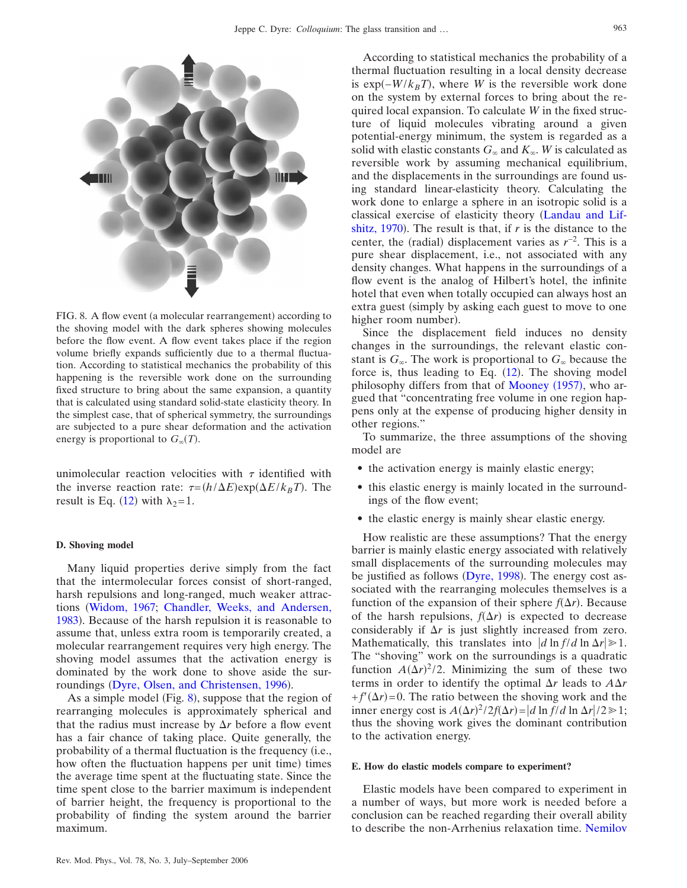<span id="page-10-0"></span>

FIG. 8. A flow event (a molecular rearrangement) according to the shoving model with the dark spheres showing molecules before the flow event. A flow event takes place if the region volume briefly expands sufficiently due to a thermal fluctuation. According to statistical mechanics the probability of this happening is the reversible work done on the surrounding fixed structure to bring about the same expansion, a quantity that is calculated using standard solid-state elasticity theory. In the simplest case, that of spherical symmetry, the surroundings are subjected to a pure shear deformation and the activation energy is proportional to  $G_{\infty}(T)$ .

unimolecular reaction velocities with  $\tau$  identified with the inverse reaction rate:  $\tau = (h/\Delta E) \exp(\Delta E / k_B T)$ . The result is Eq. ([12](#page-9-2)) with  $\lambda_2 = 1$ .

#### **D. Shoving model**

Many liquid properties derive simply from the fact that the intermolecular forces consist of short-ranged, harsh repulsions and long-ranged, much weaker attractions [Widom, 1967;](#page-19-23) [Chandler, Weeks, and Andersen,](#page-15-36) [1983](#page-15-36)). Because of the harsh repulsion it is reasonable to assume that, unless extra room is temporarily created, a molecular rearrangement requires very high energy. The shoving model assumes that the activation energy is dominated by the work done to shove aside the sur-roundings ([Dyre, Olsen, and Christensen, 1996](#page-16-37)).

As a simple model (Fig.  $8$ ), suppose that the region of rearranging molecules is approximately spherical and that the radius must increase by  $\Delta r$  before a flow event has a fair chance of taking place. Quite generally, the probability of a thermal fluctuation is the frequency (i.e., how often the fluctuation happens per unit time) times the average time spent at the fluctuating state. Since the time spent close to the barrier maximum is independent of barrier height, the frequency is proportional to the probability of finding the system around the barrier maximum.

According to statistical mechanics the probability of a thermal fluctuation resulting in a local density decrease is exp $(-W/k_BT)$ , where *W* is the reversible work done on the system by external forces to bring about the required local expansion. To calculate *W* in the fixed structure of liquid molecules vibrating around a given potential-energy minimum, the system is regarded as a solid with elastic constants  $G_{\infty}$  and  $K_{\infty}$ . *W* is calculated as reversible work by assuming mechanical equilibrium, and the displacements in the surroundings are found using standard linear-elasticity theory. Calculating the work done to enlarge a sphere in an isotropic solid is a classical exercise of elasticity theory [Landau and Lif](#page-17-33)shitz,  $1970$ ). The result is that, if *r* is the distance to the center, the (radial) displacement varies as  $r^{-2}$ . This is a pure shear displacement, i.e., not associated with any density changes. What happens in the surroundings of a flow event is the analog of Hilbert's hotel, the infinite hotel that even when totally occupied can always host an extra guest (simply by asking each guest to move to one higher room number).

Since the displacement field induces no density changes in the surroundings, the relevant elastic constant is  $G_{\infty}$ . The work is proportional to  $G_{\infty}$  because the force is, thus leading to Eq.  $(12)$  $(12)$  $(12)$ . The shoving model philosophy differs from that of [Mooney](#page-17-32) (1957), who argued that "concentrating free volume in one region happens only at the expense of producing higher density in other regions."

To summarize, the three assumptions of the shoving model are

- the activation energy is mainly elastic energy;
- this elastic energy is mainly located in the surroundings of the flow event;
- the elastic energy is mainly shear elastic energy.

How realistic are these assumptions? That the energy barrier is mainly elastic energy associated with relatively small displacements of the surrounding molecules may be justified as follows ([Dyre, 1998](#page-16-4)). The energy cost associated with the rearranging molecules themselves is a function of the expansion of their sphere  $f(\Delta r)$ . Because of the harsh repulsions,  $f(\Delta r)$  is expected to decrease considerably if  $\Delta r$  is just slightly increased from zero. Mathematically, this translates into  $\frac{d \ln f}{d \ln \Delta r} \geq 1$ . The "shoving" work on the surroundings is a quadratic function  $A(\Delta r)^2/2$ . Minimizing the sum of these two terms in order to identify the optimal  $\Delta r$  leads to  $A\Delta r$  $+f'(\Delta r)$ =0. The ratio between the shoving work and the inner energy cost is  $A(\Delta r)^2/2f(\Delta r) = |d \ln f/d \ln \Delta r|/2 \gg 1;$ thus the shoving work gives the dominant contribution to the activation energy.

## **E. How do elastic models compare to experiment?**

Elastic models have been compared to experiment in a number of ways, but more work is needed before a conclusion can be reached regarding their overall ability to describe the non-Arrhenius relaxation time. [Nemilov](#page-18-31)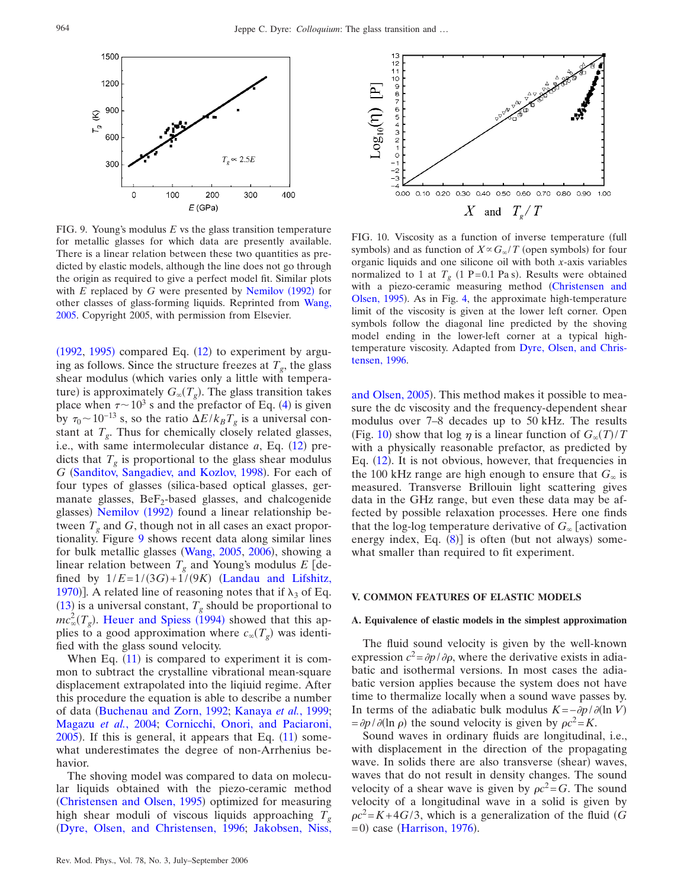<span id="page-11-0"></span>

FIG. 9. Young's modulus *E* vs the glass transition temperature for metallic glasses for which data are presently available. There is a linear relation between these two quantities as predicted by elastic models, although the line does not go through the origin as required to give a perfect model fit. Similar plots with  $E$  replaced by  $G$  were presented by [Nemilov](#page-18-31) (1992) for other classes of glass-forming liquids. Reprinted from [Wang,](#page-19-24) [2005.](#page-19-24) Copyright 2005, with permission from Elsevier.

 $(1992, 1995)$  $(1992, 1995)$  $(1992, 1995)$  $(1992, 1995)$  $(1992, 1995)$  compared Eq.  $(12)$  $(12)$  $(12)$  to experiment by arguing as follows. Since the structure freezes at  $T_g$ , the glass shear modulus (which varies only a little with temperature) is approximately  $G_{\infty}(T_g)$ . The glass transition takes place when  $\tau \sim 10^3$  s and the prefactor of Eq. ([4](#page-4-2)) is given by  $\tau_0 \sim 10^{-13}$  s, so the ratio  $\Delta E / k_B T_g$  is a universal constant at  $T<sub>g</sub>$ . Thus for chemically closely related glasses, i.e., with same intermolecular distance  $a$ , Eq.  $(12)$  $(12)$  $(12)$  predicts that  $T_g$  is proportional to the glass shear modulus G ([Sanditov, Sangadiev, and Kozlov, 1998](#page-18-32)). For each of four types of glasses (silica-based optical glasses, germanate glasses,  $BeF_2$ -based glasses, and chalcogenide glasses) [Nemilov](#page-18-31) (1992) found a linear relationship between  $T<sub>g</sub>$  and  $G$ , though not in all cases an exact proportionality. Figure [9](#page-11-0) shows recent data along similar lines for bulk metallic glasses ([Wang, 2005,](#page-19-24) [2006](#page-19-25)), showing a linear relation between  $T_g$  and Young's modulus  $E$  [defined by  $1/E = 1/(3G) + 1/(9K)$  ([Landau and Lifshitz,](#page-17-33) [1970](#page-17-33))]. A related line of reasoning notes that if  $\lambda_3$  of Eq.  $(13)$  $(13)$  $(13)$  is a universal constant,  $T_g$  should be proportional to  $mc_{\infty}^{2}(T_{g})$ . [Heuer and Spiess](#page-17-34) (1994) showed that this applies to a good approximation where  $c_{\infty}(T_g)$  was identified with the glass sound velocity.

When Eq.  $(11)$  $(11)$  $(11)$  is compared to experiment it is common to subtract the crystalline vibrational mean-square displacement extrapolated into the liqiuid regime. After this procedure the equation is able to describe a number of data [Buchenau and Zorn, 1992;](#page-15-32) [Kanaya](#page-17-35) *et al.*, 1999; [Magazu](#page-17-36) *et al.*, 2004; [Cornicchi, Onori, and Paciaroni,](#page-16-38)  $2005$ ). If this is general, it appears that Eq.  $(11)$  $(11)$  $(11)$  somewhat underestimates the degree of non-Arrhenius behavior.

The shoving model was compared to data on molecular liquids obtained with the piezo-ceramic method ([Christensen and Olsen, 1995](#page-15-8)) optimized for measuring high shear moduli of viscous liquids approaching  $T<sub>g</sub>$ [Dyre, Olsen, and Christensen, 1996;](#page-16-37) [Jakobsen, Niss,](#page-17-15)

<span id="page-11-1"></span>

FIG. 10. Viscosity as a function of inverse temperature (full symbols) and as function of  $X \propto G_{\infty}/T$  (open symbols) for four organic liquids and one silicone oil with both *x*-axis variables normalized to 1 at  $T<sub>g</sub>$  (1 P=0.1 Pa s). Results were obtained with a piezo-ceramic measuring method ([Christensen and](#page-15-8) [Olsen, 1995](#page-15-8)). As in Fig. [4,](#page-4-1) the approximate high-temperature limit of the viscosity is given at the lower left corner. Open symbols follow the diagonal line predicted by the shoving model ending in the lower-left corner at a typical hightemperature viscosity. Adapted from [Dyre, Olsen, and Chris](#page-16-37)[tensen, 1996.](#page-16-37)

[and Olsen, 2005](#page-17-15)). This method makes it possible to measure the dc viscosity and the frequency-dependent shear modulus over 7–8 decades up to 50 kHz. The results (Fig. [10](#page-11-1)) show that log  $\eta$  is a linear function of  $G_{\infty}(T)/T$ with a physically reasonable prefactor, as predicted by Eq. ([12](#page-9-2)). It is not obvious, however, that frequencies in the 100 kHz range are high enough to ensure that  $G_{\infty}$  is measured. Transverse Brillouin light scattering gives data in the GHz range, but even these data may be affected by possible relaxation processes. Here one finds that the log-log temperature derivative of  $G_{\infty}$  [activation energy index, Eq. ([8](#page-7-0))] is often (but not always) somewhat smaller than required to fit experiment.

## **V. COMMON FEATURES OF ELASTIC MODELS**

#### **A. Equivalence of elastic models in the simplest approximation**

The fluid sound velocity is given by the well-known expression  $c^2 = \frac{\partial p}{\partial \rho}$ , where the derivative exists in adiabatic and isothermal versions. In most cases the adiabatic version applies because the system does not have time to thermalize locally when a sound wave passes by. In terms of the adiabatic bulk modulus  $K = -\frac{\partial p}{\partial \ln V}$  $=$   $\partial p / \partial (\ln \rho)$  the sound velocity is given by  $\rho c^2 = K$ .

Sound waves in ordinary fluids are longitudinal, i.e., with displacement in the direction of the propagating wave. In solids there are also transverse (shear) waves, waves that do not result in density changes. The sound velocity of a shear wave is given by  $\rho c^2 = G$ . The sound velocity of a longitudinal wave in a solid is given by  $\[\rho c^2 = K + 4G/3\]$ , which is a generalization of the fluid (*G*  $= 0$ ) case ([Harrison, 1976](#page-17-8)).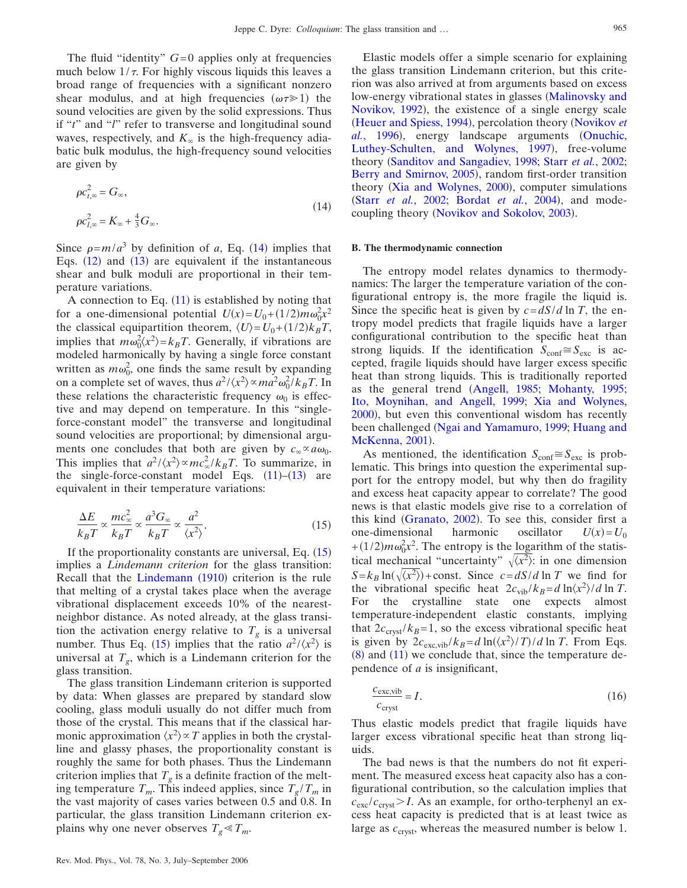The fluid "identity"  $G=0$  applies only at frequencies much below  $1/\tau$ . For highly viscous liquids this leaves a broad range of frequencies with a significant nonzero shear modulus, and at high frequencies  $(\omega \tau \ge 1)$  the sound velocities are given by the solid expressions. Thus if "*t*" and "*l*" refer to transverse and longitudinal sound waves, respectively, and  $K_{\infty}$  is the high-frequency adiabatic bulk modulus, the high-frequency sound velocities are given by

<span id="page-12-0"></span>
$$
\rho c_{t,\infty}^2 = G_{\infty},
$$
  
\n
$$
\rho c_{t,\infty}^2 = K_{\infty} + \frac{4}{3} G_{\infty}.
$$
\n(14)

Since  $\rho = m/a^3$  by definition of *a*, Eq. ([14](#page-12-0)) implies that Eqs.  $(12)$  $(12)$  $(12)$  and  $(13)$  $(13)$  $(13)$  are equivalent if the instantaneous shear and bulk moduli are proportional in their temperature variations.

A connection to Eq.  $(11)$  $(11)$  $(11)$  is established by noting that for a one-dimensional potential  $U(x) = U_0 + (1/2)m\omega_0^2 x^2$ the classical equipartition theorem,  $\langle U \rangle = U_0 + (1/2)k_B T$ , implies that  $m\omega_0^2 \langle x^2 \rangle = k_B T$ . Generally, if vibrations are modeled harmonically by having a single force constant written as  $m\omega_0^2$ , one finds the same result by expanding on a complete set of waves, thus  $a^2 / \langle x^2 \rangle \propto ma^2 \omega_0^2 / k_B T$ . In these relations the characteristic frequency  $\omega_0$  is effective and may depend on temperature. In this "singleforce-constant model" the transverse and longitudinal sound velocities are proportional; by dimensional arguments one concludes that both are given by  $c_{\infty} \propto a \omega_0$ . This implies that  $a^2 / \langle x^2 \rangle \propto mc_\infty^2 / k_B T$ . To summarize, in the single-force-constant model Eqs.  $(11)$  $(11)$  $(11)$ – $(13)$  $(13)$  $(13)$  are equivalent in their temperature variations:

<span id="page-12-1"></span>
$$
\frac{\Delta E}{k_B T} \propto \frac{mc_{\infty}^2}{k_B T} \propto \frac{a^3 G_{\infty}}{k_B T} \propto \frac{a^2}{\langle x^2 \rangle}.
$$
 (15)

If the proportionality constants are universal, Eq.  $(15)$  $(15)$  $(15)$ implies a *Lindemann criterion* for the glass transition: Recall that the [Lindemann](#page-17-37) (1910) criterion is the rule that melting of a crystal takes place when the average vibrational displacement exceeds 10% of the nearestneighbor distance. As noted already, at the glass transition the activation energy relative to  $T<sub>g</sub>$  is a universal number. Thus Eq. ([15](#page-12-1)) implies that the ratio  $a^2 / \langle x^2 \rangle$  is universal at  $T_g$ , which is a Lindemann criterion for the glass transition.

The glass transition Lindemann criterion is supported by data: When glasses are prepared by standard slow cooling, glass moduli usually do not differ much from those of the crystal. This means that if the classical harmonic approximation  $\langle x^2 \rangle \propto T$  applies in both the crystalline and glassy phases, the proportionality constant is roughly the same for both phases. Thus the Lindemann criterion implies that  $T_g$  is a definite fraction of the melting temperature  $T_m$ . This indeed applies, since  $T_g/T_m$  in the vast majority of cases varies between 0.5 and 0.8. In particular, the glass transition Lindemann criterion explains why one never observes  $T_g \ll T_m$ .

Elastic models offer a simple scenario for explaining the glass transition Lindemann criterion, but this criterion was also arrived at from arguments based on excess low-energy vibrational states in glasses ([Malinovsky and](#page-17-38) [Novikov, 1992](#page-17-38)), the existence of a single energy scale ([Heuer and Spiess, 1994](#page-17-34)), percolation theory ([Novikov](#page-18-27) et al.[, 1996](#page-18-27)), energy landscape arguments ([Onuchic,](#page-18-33) [Luthey-Schulten, and Wolynes, 1997](#page-18-33)), free-volume theory ([Sanditov and Sangadiev, 1998;](#page-18-34) Starr *et al.*[, 2002;](#page-19-22) [Berry and Smirnov, 2005](#page-15-33)), random first-order transition theory ([Xia and Wolynes, 2000](#page-19-18)), computer simulations (Starr *et al.*[, 2002;](#page-19-22) [Bordat](#page-15-33) *et al.*, 2004), and mode-coupling theory ([Novikov and Sokolov, 2003](#page-18-35)).

#### **B. The thermodynamic connection**

The entropy model relates dynamics to thermodynamics: The larger the temperature variation of the configurational entropy is, the more fragile the liquid is. Since the specific heat is given by  $c = dS/d \ln T$ , the entropy model predicts that fragile liquids have a larger configurational contribution to the specific heat than strong liquids. If the identification  $S_{\text{conf}} \cong S_{\text{exc}}$  is accepted, fragile liquids should have larger excess specific heat than strong liquids. This is traditionally reported as the general trend ([Angell, 1985;](#page-15-10) [Mohanty, 1995;](#page-17-39) [Ito, Moynihan, and Angell, 1999;](#page-17-40) [Xia and Wolynes,](#page-19-18) [2000](#page-19-18)), but even this conventional wisdom has recently been challenged ([Ngai and Yamamuro, 1999;](#page-18-36) [Huang and](#page-17-41) [McKenna, 2001](#page-17-41)).

As mentioned, the identification  $S_{\text{conf}} \cong S_{\text{exc}}$  is problematic. This brings into question the experimental support for the entropy model, but why then do fragility and excess heat capacity appear to correlate? The good news is that elastic models give rise to a correlation of this kind ([Granato, 2002](#page-16-21)). To see this, consider first a one-dimensional harmonic oscillator  $U(x) = U_0$ + $(1/2)m\omega_0^2x^2$ . The entropy is the <u>logarithm</u> of the statistical mechanical "uncertainty"  $\sqrt{x^2}$ : in one dimension  $S = k_B \ln(\sqrt{x^2})$  + const. Since  $c = dS/d \ln T$  we find for the vibrational specific heat  $2c_{\text{vib}}/k_B = d \ln \langle x^2 \rangle / d \ln T$ . For the crystalline state one expects almost temperature-independent elastic constants, implying that  $2c_{\text{cryst}}/k_B=1$ , so the excess vibrational specific heat is given by  $2c_{\text{exc,vib}}/k_B = d \ln(\langle x^2 \rangle / T) / d \ln T$ . From Eqs.  $(8)$  $(8)$  $(8)$  and  $(11)$  $(11)$  $(11)$  we conclude that, since the temperature dependence of *a* is insignificant,

<span id="page-12-2"></span>
$$
\frac{c_{\text{exc,vib}}}{c_{\text{cryst}}} = I. \tag{16}
$$

Thus elastic models predict that fragile liquids have larger excess vibrational specific heat than strong liquids.

The bad news is that the numbers do not fit experiment. The measured excess heat capacity also has a configurational contribution, so the calculation implies that  $c_{\rm exc}/c_{\rm crust}$  I. As an example, for ortho-terphenyl an excess heat capacity is predicted that is at least twice as large as  $c<sub>crvst</sub>$ , whereas the measured number is below 1.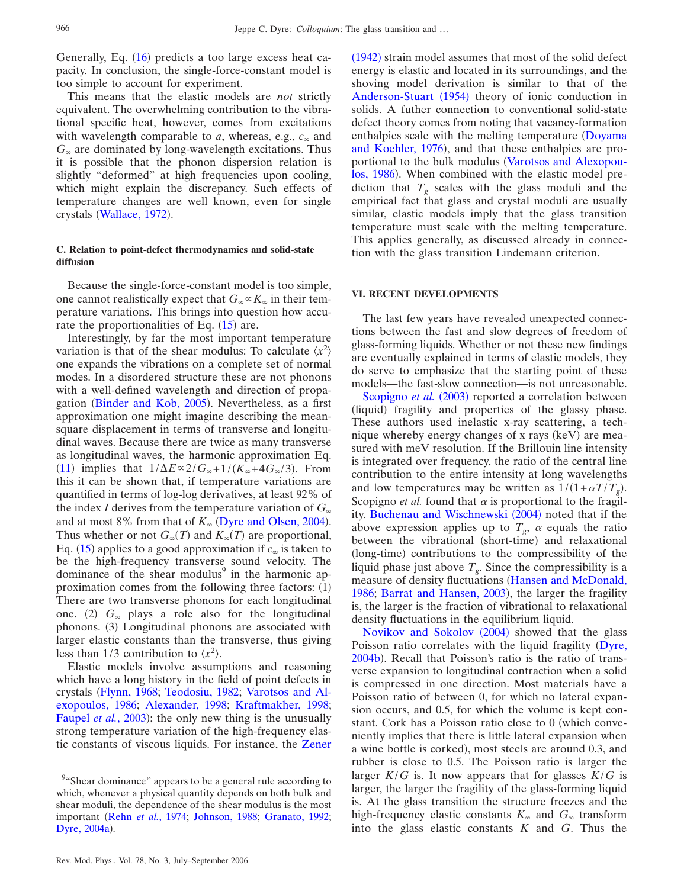Generally, Eq. ([16](#page-12-2)) predicts a too large excess heat capacity. In conclusion, the single-force-constant model is too simple to account for experiment.

This means that the elastic models are *not* strictly equivalent. The overwhelming contribution to the vibrational specific heat, however, comes from excitations with wavelength comparable to  $a$ , whereas, e.g.,  $c_{\infty}$  and  $G_{\infty}$  are dominated by long-wavelength excitations. Thus it is possible that the phonon dispersion relation is slightly "deformed" at high frequencies upon cooling, which might explain the discrepancy. Such effects of temperature changes are well known, even for single crystals ([Wallace, 1972](#page-19-26)).

## **C. Relation to point-defect thermodynamics and solid-state diffusion**

Because the single-force-constant model is too simple, one cannot realistically expect that  $G_{\infty} \propto K_{\infty}$  in their temperature variations. This brings into question how accurate the proportionalities of Eq.  $(15)$  $(15)$  $(15)$  are.

Interestingly, by far the most important temperature variation is that of the shear modulus: To calculate  $\langle x^2 \rangle$ one expands the vibrations on a complete set of normal modes. In a disordered structure these are not phonons with a well-defined wavelength and direction of propa-gation ([Binder and Kob, 2005](#page-15-37)). Nevertheless, as a first approximation one might imagine describing the meansquare displacement in terms of transverse and longitudinal waves. Because there are twice as many transverse as longitudinal waves, the harmonic approximation Eq. ([11](#page-9-4)) implies that  $1/\Delta E \propto 2/G_{\infty}+1/(K_{\infty}+4G_{\infty}/3)$ . From this it can be shown that, if temperature variations are quantified in terms of log-log derivatives, at least 92% of the index *I* derives from the temperature variation of  $G_{\infty}$ and at most 8% from that of  $K_{\infty}$  ([Dyre and Olsen, 2004](#page-16-33)). Thus whether or not  $G_{\infty}(T)$  and  $K_{\infty}(T)$  are proportional, Eq. ([15](#page-12-1)) applies to a good approximation if  $c_{\infty}$  is taken to be the high-frequency transverse sound velocity. The dominance of the shear modulus<sup>9</sup> in the harmonic approximation comes from the following three factors: (1) There are two transverse phonons for each longitudinal one. (2)  $G_{\infty}$  plays a role also for the longitudinal phonons. (3) Longitudinal phonons are associated with larger elastic constants than the transverse, thus giving less than 1/3 contribution to  $\langle x^2 \rangle$ .

Elastic models involve assumptions and reasoning which have a long history in the field of point defects in crystals [Flynn, 1968;](#page-16-35) [Teodosiu, 1982;](#page-19-27) [Varotsos and Al](#page-19-28)[exopoulos, 1986;](#page-19-28) [Alexander, 1998;](#page-15-38) [Kraftmakher, 1998;](#page-17-42) [Faupel](#page-16-39) *et al.*, 2003); the only new thing is the unusually strong temperature variation of the high-frequency elastic constants of viscous liquids. For instance, the [Zener](#page-19-29)

([1942](#page-19-29)) strain model assumes that most of the solid defect energy is elastic and located in its surroundings, and the shoving model derivation is similar to that of the [Anderson-Stuart](#page-15-39) (1954) theory of ionic conduction in solids. A futher connection to conventional solid-state defect theory comes from noting that vacancy-formation enthalpies scale with the melting temperature ([Doyama](#page-16-40) [and Koehler, 1976](#page-16-40)), and that these enthalpies are pro-portional to the bulk modulus ([Varotsos and Alexopou](#page-19-28)[los, 1986](#page-19-28)). When combined with the elastic model prediction that  $T_g$  scales with the glass moduli and the empirical fact that glass and crystal moduli are usually similar, elastic models imply that the glass transition temperature must scale with the melting temperature. This applies generally, as discussed already in connection with the glass transition Lindemann criterion.

## **VI. RECENT DEVELOPMENTS**

The last few years have revealed unexpected connections between the fast and slow degrees of freedom of glass-forming liquids. Whether or not these new findings are eventually explained in terms of elastic models, they do serve to emphasize that the starting point of these models—the fast-slow connection—is not unreasonable.

[Scopigno](#page-18-37) et al. (2003) reported a correlation between (liquid) fragility and properties of the glassy phase. These authors used inelastic x-ray scattering, a technique whereby energy changes of x rays (keV) are measured with meV resolution. If the Brillouin line intensity is integrated over frequency, the ratio of the central line contribution to the entire intensity at long wavelengths and low temperatures may be written as  $1/(1+\alpha T/T_g)$ . Scopigno *et al.* found that  $\alpha$  is proportional to the fragil-ity. [Buchenau and Wischnewski](#page-15-40) (2004) noted that if the above expression applies up to  $T_g$ ,  $\alpha$  equals the ratio between the vibrational (short-time) and relaxational (long-time) contributions to the compressibility of the liquid phase just above  $T<sub>g</sub>$ . Since the compressibility is a measure of density fluctuations ([Hansen and McDonald,](#page-17-11) [1986;](#page-17-11) [Barrat and Hansen, 2003](#page-15-41)), the larger the fragility is, the larger is the fraction of vibrational to relaxational density fluctuations in the equilibrium liquid.

[Novikov and Sokolov](#page-18-38) (2004) showed that the glass Poisson ratio correlates with the liquid fragility ([Dyre,](#page-16-41) [2004b](#page-16-41)). Recall that Poisson's ratio is the ratio of transverse expansion to longitudinal contraction when a solid is compressed in one direction. Most materials have a Poisson ratio of between 0, for which no lateral expansion occurs, and 0.5, for which the volume is kept constant. Cork has a Poisson ratio close to  $0$  (which conveniently implies that there is little lateral expansion when a wine bottle is corked), most steels are around 0.3, and rubber is close to 0.5. The Poisson ratio is larger the larger  $K/G$  is. It now appears that for glasses  $K/G$  is larger, the larger the fragility of the glass-forming liquid is. At the glass transition the structure freezes and the high-frequency elastic constants  $K_{\infty}$  and  $G_{\infty}$  transform into the glass elastic constants *K* and *G*. Thus the

<sup>&</sup>lt;sup>9</sup>"Shear dominance" appears to be a general rule according to which, whenever a physical quantity depends on both bulk and shear moduli, the dependence of the shear modulus is the most important (Rehn *et al.*[, 1974;](#page-18-39) [Johnson, 1988;](#page-17-43) [Granato, 1992;](#page-16-42) [Dyre, 2004a](#page-16-43)).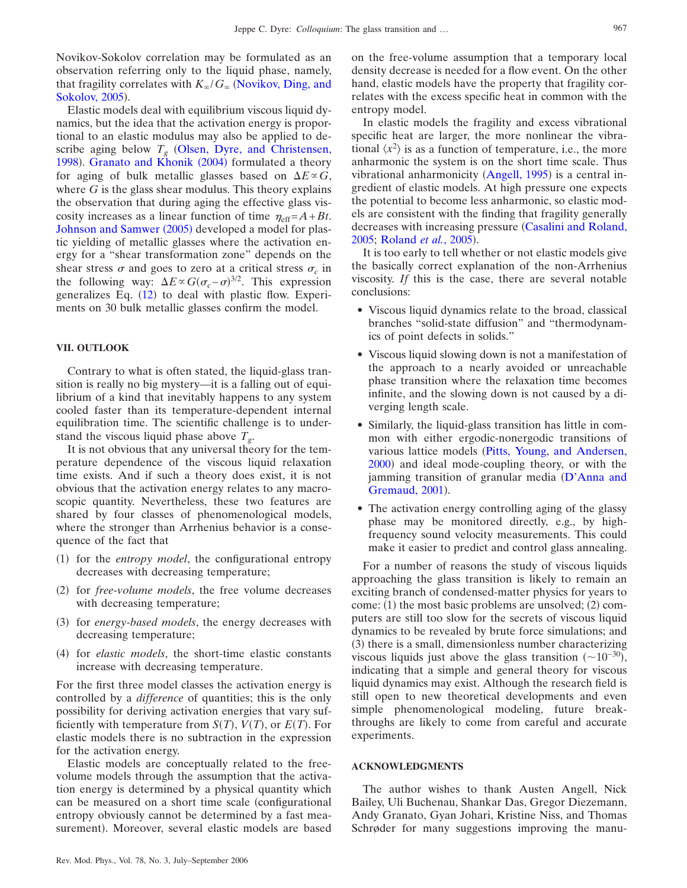Novikov-Sokolov correlation may be formulated as an observation referring only to the liquid phase, namely, that fragility correlates with  $K_{\infty}/G_{\infty}$  ([Novikov, Ding, and](#page-18-40) [Sokolov, 2005](#page-18-40)).

Elastic models deal with equilibrium viscous liquid dynamics, but the idea that the activation energy is proportional to an elastic modulus may also be applied to describe aging below  $T_g$  ([Olsen, Dyre, and Christensen,](#page-18-41) [1998](#page-18-41)). [Granato and Khonik](#page-16-44) (2004) formulated a theory for aging of bulk metallic glasses based on  $\Delta E \propto G$ , where *G* is the glass shear modulus. This theory explains the observation that during aging the effective glass viscosity increases as a linear function of time  $\eta_{\text{eff}} = A + Bt$ . [Johnson and Samwer](#page-17-44) (2005) developed a model for plastic yielding of metallic glasses where the activation energy for a "shear transformation zone" depends on the shear stress  $\sigma$  and goes to zero at a critical stress  $\sigma_c$  in the following way:  $\Delta E \propto G(\sigma_c - \sigma)^{3/2}$ . This expression generalizes Eq. ([12](#page-9-2)) to deal with plastic flow. Experiments on 30 bulk metallic glasses confirm the model.

## **VII. OUTLOOK**

Contrary to what is often stated, the liquid-glass transition is really no big mystery—it is a falling out of equilibrium of a kind that inevitably happens to any system cooled faster than its temperature-dependent internal equilibration time. The scientific challenge is to understand the viscous liquid phase above  $T_{g}$ .

It is not obvious that any universal theory for the temperature dependence of the viscous liquid relaxation time exists. And if such a theory does exist, it is not obvious that the activation energy relates to any macroscopic quantity. Nevertheless, these two features are shared by four classes of phenomenological models, where the stronger than Arrhenius behavior is a consequence of the fact that

- (1) for the *entropy model*, the configurational entropy decreases with decreasing temperature;
- (2) for *free-volume models*, the free volume decreases with decreasing temperature;
- (3) for *energy-based models*, the energy decreases with decreasing temperature;
- (4) for *elastic models*, the short-time elastic constants increase with decreasing temperature.

For the first three model classes the activation energy is controlled by a *difference* of quantities; this is the only possibility for deriving activation energies that vary sufficiently with temperature from  $S(T)$ ,  $V(T)$ , or  $E(T)$ . For elastic models there is no subtraction in the expression for the activation energy.

Elastic models are conceptually related to the freevolume models through the assumption that the activation energy is determined by a physical quantity which can be measured on a short time scale (configurational entropy obviously cannot be determined by a fast measurement). Moreover, several elastic models are based

on the free-volume assumption that a temporary local density decrease is needed for a flow event. On the other hand, elastic models have the property that fragility correlates with the excess specific heat in common with the entropy model.

In elastic models the fragility and excess vibrational specific heat are larger, the more nonlinear the vibrational  $\langle x^2 \rangle$  is as a function of temperature, i.e., the more anharmonic the system is on the short time scale. Thus vibrational anharmonicity ([Angell, 1995](#page-15-4)) is a central ingredient of elastic models. At high pressure one expects the potential to become less anharmonic, so elastic models are consistent with the finding that fragility generally decreases with increasing pressure [Casalini and Roland,](#page-15-42) [2005;](#page-15-42) [Roland](#page-18-42) *et al.*, 2005).

It is too early to tell whether or not elastic models give the basically correct explanation of the non-Arrhenius viscosity. *If* this is the case, there are several notable conclusions:

- Viscous liquid dynamics relate to the broad, classical branches "solid-state diffusion" and "thermodynamics of point defects in solids."
- Viscous liquid slowing down is not a manifestation of the approach to a nearly avoided or unreachable phase transition where the relaxation time becomes infinite, and the slowing down is not caused by a diverging length scale.
- Similarly, the liquid-glass transition has little in common with either ergodic-nonergodic transitions of various lattice models ([Pitts, Young, and Andersen,](#page-18-21) [2000](#page-18-21)) and ideal mode-coupling theory, or with the jamming transition of granular media  $(D^{\prime} \text{Anna and})$ [Gremaud, 2001](#page-16-45)).
- The activation energy controlling aging of the glassy phase may be monitored directly, e.g., by highfrequency sound velocity measurements. This could make it easier to predict and control glass annealing.

For a number of reasons the study of viscous liquids approaching the glass transition is likely to remain an exciting branch of condensed-matter physics for years to come: (1) the most basic problems are unsolved; (2) computers are still too slow for the secrets of viscous liquid dynamics to be revealed by brute force simulations; and (3) there is a small, dimensionless number characterizing viscous liquids just above the glass transition  $(\sim 10^{-30})$ , indicating that a simple and general theory for viscous liquid dynamics may exist. Although the research field is still open to new theoretical developments and even simple phenomenological modeling, future breakthroughs are likely to come from careful and accurate experiments.

#### **ACKNOWLEDGMENTS**

The author wishes to thank Austen Angell, Nick Bailey, Uli Buchenau, Shankar Das, Gregor Diezemann, Andy Granato, Gyan Johari, Kristine Niss, and Thomas Schrøder for many suggestions improving the manu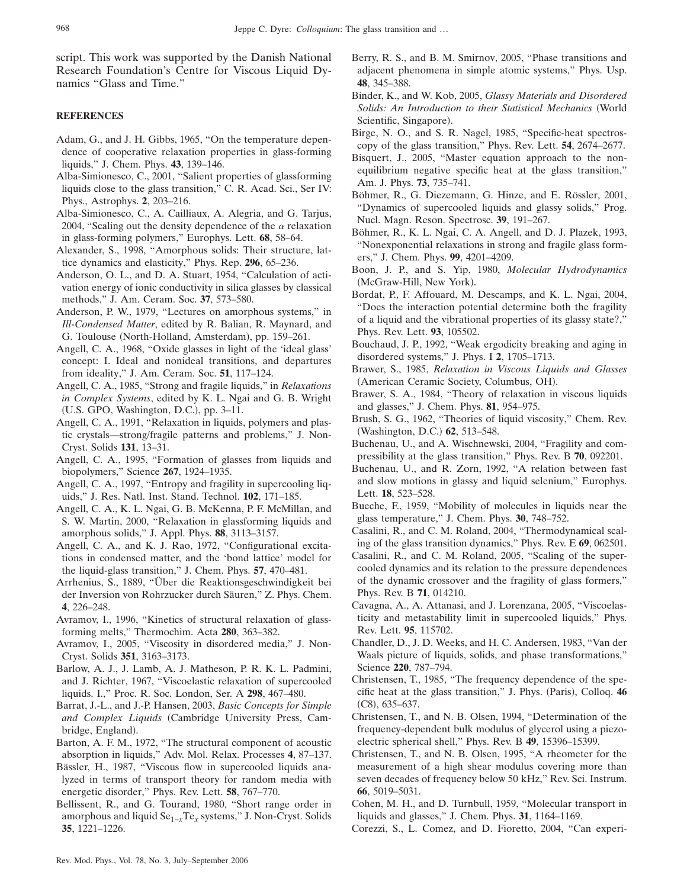script. This work was supported by the Danish National Research Foundation's Centre for Viscous Liquid Dynamics "Glass and Time."

# <span id="page-15-25"></span>**REFERENCES**

- Adam, G., and J. H. Gibbs, 1965, "On the temperature dependence of cooperative relaxation properties in glass-forming liquids," J. Chem. Phys. **43**, 139–146.
- <span id="page-15-3"></span>Alba-Simionesco, C., 2001, "Salient properties of glassforming liquids close to the glass transition," C. R. Acad. Sci., Ser IV: Phys., Astrophys. **2**, 203–216.
- <span id="page-15-28"></span>Alba-Simionesco, C., A. Cailliaux, A. Alegria, and G. Tarjus, 2004, "Scaling out the density dependence of the  $\alpha$  relaxation in glass-forming polymers," Europhys. Lett. **68**, 58–64.
- <span id="page-15-38"></span>Alexander, S., 1998, "Amorphous solids: Their structure, lattice dynamics and elasticity," Phys. Rep. **296**, 65–236.
- <span id="page-15-39"></span>Anderson, O. L., and D. A. Stuart, 1954, "Calculation of activation energy of ionic conductivity in silica glasses by classical methods," J. Am. Ceram. Soc. **37**, 573–580.
- <span id="page-15-13"></span>Anderson, P. W., 1979, "Lectures on amorphous systems," in *Ill-Condensed Matter*, edited by R. Balian, R. Maynard, and G. Toulouse (North-Holland, Amsterdam), pp. 159-261.
- <span id="page-15-20"></span>Angell, C. A., 1968, "Oxide glasses in light of the 'ideal glass' concept: I. Ideal and nonideal transitions, and departures from ideality," J. Am. Ceram. Soc. **51**, 117–124.
- <span id="page-15-10"></span>Angell, C. A., 1985, "Strong and fragile liquids," in *Relaxations in Complex Systems*, edited by K. L. Ngai and G. B. Wright (U.S. GPO, Washington, D.C.), pp. 3-11.
- <span id="page-15-1"></span>Angell, C. A., 1991, "Relaxation in liquids, polymers and plastic crystals—strong/fragile patterns and problems," J. Non-Cryst. Solids **131**, 13–31.
- <span id="page-15-4"></span>Angell, C. A., 1995, "Formation of glasses from liquids and biopolymers," Science **267**, 1924–1935.
- <span id="page-15-26"></span>Angell, C. A., 1997, "Entropy and fragility in supercooling liquids," J. Res. Natl. Inst. Stand. Technol. **102**, 171–185.
- <span id="page-15-2"></span>Angell, C. A., K. L. Ngai, G. B. McKenna, P. F. McMillan, and S. W. Martin, 2000, "Relaxation in glassforming liquids and amorphous solids," J. Appl. Phys. **88**, 3113–3157.
- <span id="page-15-21"></span>Angell, C. A., and K. J. Rao, 1972, "Configurational excitations in condensed matter, and the 'bond lattice' model for the liquid-glass transition," J. Chem. Phys. **57**, 470–481.
- <span id="page-15-12"></span>Arrhenius, S., 1889, "Über die Reaktionsgeschwindigkeit bei der Inversion von Rohrzucker durch Säuren," Z. Phys. Chem. **4**, 226–248.
- <span id="page-15-17"></span>Avramov, I., 1996, "Kinetics of structural relaxation of glassforming melts," Thermochim. Acta **280**, 363–382.
- <span id="page-15-15"></span>Avramov, I., 2005, "Viscosity in disordered media," J. Non-Cryst. Solids **351**, 3163–3173.
- <span id="page-15-34"></span>Barlow, A. J., J. Lamb, A. J. Matheson, P. R. K. L. Padmini, and J. Richter, 1967, "Viscoelastic relaxation of supercooled liquids. I.," Proc. R. Soc. London, Ser. A **298**, 467–480.
- <span id="page-15-41"></span>Barrat, J.-L., and J.-P. Hansen, 2003, *Basic Concepts for Simple and Complex Liquids* Cambridge University Press, Cambridge, England).
- <span id="page-15-22"></span>Barton, A. F. M., 1972, "The structural component of acoustic absorption in liquids," Adv. Mol. Relax. Processes **4**, 87–137.
- <span id="page-15-14"></span>Bässler, H., 1987, "Viscous flow in supercooled liquids analyzed in terms of transport theory for random media with energetic disorder," Phys. Rev. Lett. **58**, 767–770.
- <span id="page-15-9"></span>Bellissent, R., and G. Tourand, 1980, "Short range order in amorphous and liquid Se1−*x*Te*<sup>x</sup>* systems," J. Non-Cryst. Solids **35**, 1221–1226.
- <span id="page-15-33"></span>Berry, R. S., and B. M. Smirnov, 2005, "Phase transitions and adjacent phenomena in simple atomic systems," Phys. Usp. **48**, 345–388.
- <span id="page-15-37"></span>Binder, K., and W. Kob, 2005, *Glassy Materials and Disordered Solids: An Introduction to their Statistical Mechanics* World Scientific, Singapore).
- <span id="page-15-6"></span>Birge, N. O., and S. R. Nagel, 1985, "Specific-heat spectros-
- <span id="page-15-16"></span>copy of the glass transition," Phys. Rev. Lett. **54**, 2674–2677. Bisquert, J., 2005, "Master equation approach to the nonequilibrium negative specific heat at the glass transition," Am. J. Phys. **73**, 735–741.
- <span id="page-15-5"></span>Böhmer, R., G. Diezemann, G. Hinze, and E. Rössler, 2001, "Dynamics of supercooled liquids and glassy solids," Prog. Nucl. Magn. Reson. Spectrosc. **39**, 191–267.
- <span id="page-15-24"></span>Böhmer, R., K. L. Ngai, C. A. Angell, and D. J. Plazek, 1993, "Nonexponential relaxations in strong and fragile glass formers," J. Chem. Phys. **99**, 4201–4209.
- <span id="page-15-23"></span>Boon, J. P., and S. Yip, 1980, *Molecular Hydrodynamics* (McGraw-Hill, New York).
- Bordat, P., F. Affouard, M. Descamps, and K. L. Ngai, 2004, "Does the interaction potential determine both the fragility of a liquid and the vibrational properties of its glassy state?," Phys. Rev. Lett. **93**, 105502.
- <span id="page-15-31"></span>Bouchaud, J. P., 1992, "Weak ergodicity breaking and aging in disordered systems," J. Phys. I **2**, 1705–1713.
- <span id="page-15-0"></span>Brawer, S., 1985, *Relaxation in Viscous Liquids and Glasses* (American Ceramic Society, Columbus, OH).
- <span id="page-15-30"></span>Brawer, S. A., 1984, "Theory of relaxation in viscous liquids and glasses," J. Chem. Phys. **81**, 954–975.
- <span id="page-15-11"></span>Brush, S. G., 1962, "Theories of liquid viscosity," Chem. Rev. (Washington, D.C.) 62, 513-548.
- <span id="page-15-40"></span>Buchenau, U., and A. Wischnewski, 2004, "Fragility and compressibility at the glass transition," Phys. Rev. B **70**, 092201.
- <span id="page-15-32"></span>Buchenau, U., and R. Zorn, 1992, "A relation between fast and slow motions in glassy and liquid selenium," Europhys. Lett. **18**, 523–528.
- <span id="page-15-35"></span>Bueche, F., 1959, "Mobility of molecules in liquids near the glass temperature," J. Chem. Phys. **30**, 748–752.
- <span id="page-15-29"></span>Casalini, R., and C. M. Roland, 2004, "Thermodynamical scaling of the glass transition dynamics," Phys. Rev. E **69**, 062501.
- <span id="page-15-42"></span>Casalini, R., and C. M. Roland, 2005, "Scaling of the supercooled dynamics and its relation to the pressure dependences of the dynamic crossover and the fragility of glass formers," Phys. Rev. B **71**, 014210.
- <span id="page-15-18"></span>Cavagna, A., A. Attanasi, and J. Lorenzana, 2005, "Viscoelasticity and metastability limit in supercooled liquids," Phys. Rev. Lett. **95**, 115702.
- <span id="page-15-36"></span>Chandler, D., J. D. Weeks, and H. C. Andersen, 1983, "Van der Waals picture of liquids, solids, and phase transformations," Science **220**, 787–794.
- <span id="page-15-7"></span>Christensen, T., 1985, "The frequency dependence of the specific heat at the glass transition," J. Phys. (Paris), Colloq. 46  $(C8)$ , 635-637.
- Christensen, T., and N. B. Olsen, 1994, "Determination of the frequency-dependent bulk modulus of glycerol using a piezoelectric spherical shell," Phys. Rev. B **49**, 15396–15399.
- <span id="page-15-8"></span>Christensen, T., and N. B. Olsen, 1995, "A rheometer for the measurement of a high shear modulus covering more than seven decades of frequency below 50 kHz," Rev. Sci. Instrum. **66**, 5019–5031.
- <span id="page-15-19"></span>Cohen, M. H., and D. Turnbull, 1959, "Molecular transport in liquids and glasses," J. Chem. Phys. **31**, 1164–1169.
- <span id="page-15-27"></span>Corezzi, S., L. Comez, and D. Fioretto, 2004, "Can experi-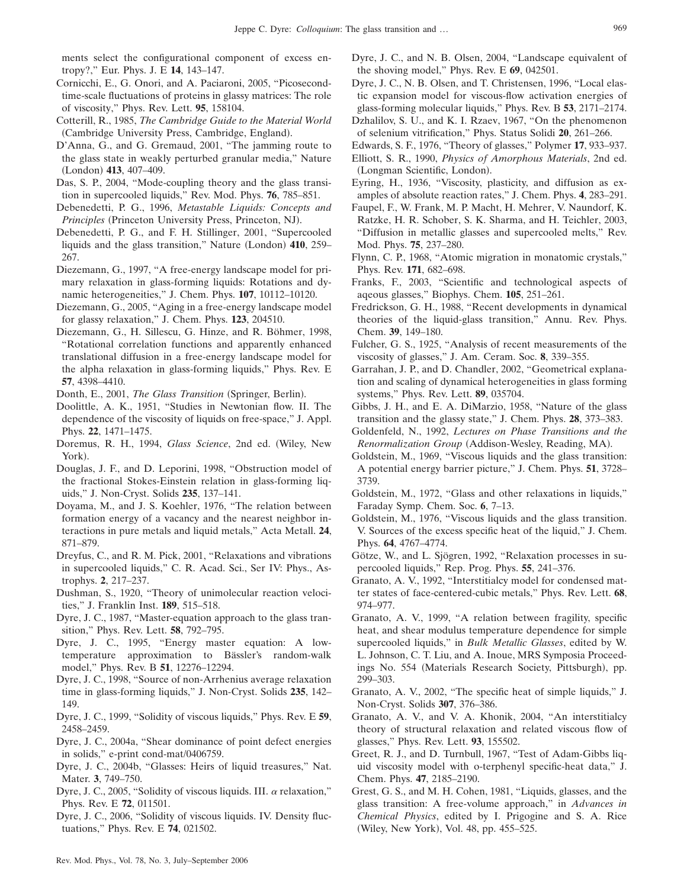ments select the configurational component of excess entropy?," Eur. Phys. J. E **14**, 143–147.

- <span id="page-16-38"></span>Cornicchi, E., G. Onori, and A. Paciaroni, 2005, "Picosecondtime-scale fluctuations of proteins in glassy matrices: The role of viscosity," Phys. Rev. Lett. **95**, 158104.
- <span id="page-16-1"></span>Cotterill, R., 1985, *The Cambridge Guide to the Material World* (Cambridge University Press, Cambridge, England).
- <span id="page-16-45"></span>D'Anna, G., and G. Gremaud, 2001, "The jamming route to the glass state in weakly perturbed granular media," Nature (London) 413, 407-409.
- <span id="page-16-31"></span>Das, S. P., 2004, "Mode-coupling theory and the glass transition in supercooled liquids," Rev. Mod. Phys. **76**, 785–851.
- <span id="page-16-0"></span>Debenedetti, P. G., 1996, *Metastable Liquids: Concepts and* Principles (Princeton University Press, Princeton, NJ).
- <span id="page-16-5"></span>Debenedetti, P. G., and F. H. Stillinger, 2001, "Supercooled liquids and the glass transition," Nature (London) 410, 259– 267.
- <span id="page-16-27"></span>Diezemann, G., 1997, "A free-energy landscape model for primary relaxation in glass-forming liquids: Rotations and dynamic heterogeneities," J. Chem. Phys. **107**, 10112–10120.
- <span id="page-16-29"></span>Diezemann, G., 2005, "Aging in a free-energy landscape model for glassy relaxation," J. Chem. Phys. **123**, 204510.
- <span id="page-16-23"></span>Diezemann, G., H. Sillescu, G. Hinze, and R. Böhmer, 1998, "Rotational correlation functions and apparently enhanced translational diffusion in a free-energy landscape model for the alpha relaxation in glass-forming liquids," Phys. Rev. E **57**, 4398–4410.
- <span id="page-16-6"></span>Donth, E., 2001, The Glass Transition (Springer, Berlin).
- <span id="page-16-25"></span>Doolittle, A. K., 1951, "Studies in Newtonian flow. II. The dependence of the viscosity of liquids on free-space," J. Appl. Phys. **22**, 1471–1475.
- <span id="page-16-9"></span>Doremus, R. H., 1994, *Glass Science*, 2nd ed. Wiley, New York).
- <span id="page-16-24"></span>Douglas, J. F., and D. Leporini, 1998, "Obstruction model of the fractional Stokes-Einstein relation in glass-forming liquids," J. Non-Cryst. Solids **235**, 137–141.
- <span id="page-16-40"></span>Doyama, M., and J. S. Koehler, 1976, "The relation between formation energy of a vacancy and the nearest neighbor interactions in pure metals and liquid metals," Acta Metall. **24**, 871–879.
- <span id="page-16-32"></span>Dreyfus, C., and R. M. Pick, 2001, "Relaxations and vibrations in supercooled liquids," C. R. Acad. Sci., Ser IV: Phys., Astrophys. **2**, 217–237.
- Dushman, S., 1920, "Theory of unimolecular reaction velocities," J. Franklin Inst. **189**, 515–518.
- <span id="page-16-26"></span>Dyre, J. C., 1987, "Master-equation approach to the glass transition," Phys. Rev. Lett. **58**, 792–795.
- <span id="page-16-28"></span>Dyre, J. C., 1995, "Energy master equation: A lowtemperature approximation to Bässler's random-walk model," Phys. Rev. B **51**, 12276–12294.
- <span id="page-16-4"></span>Dyre, J. C., 1998, "Source of non-Arrhenius average relaxation time in glass-forming liquids," J. Non-Cryst. Solids **235**, 142– 149.
- <span id="page-16-16"></span>Dyre, J. C., 1999, "Solidity of viscous liquids," Phys. Rev. E **59**, 2458–2459.
- <span id="page-16-43"></span>Dyre, J. C., 2004a, "Shear dominance of point defect energies in solids," e-print cond-mat/0406759.
- <span id="page-16-41"></span>Dyre, J. C., 2004b, "Glasses: Heirs of liquid treasures," Nat. Mater. **3**, 749–750.
- <span id="page-16-17"></span>Dyre, J. C., 2005, "Solidity of viscous liquids. III.  $\alpha$  relaxation," Phys. Rev. E **72**, 011501.
- <span id="page-16-18"></span>Dyre, J. C., 2006, "Solidity of viscous liquids. IV. Density fluctuations," Phys. Rev. E **74**, 021502.
- <span id="page-16-33"></span>Dyre, J. C., and N. B. Olsen, 2004, "Landscape equivalent of the shoving model," Phys. Rev. E **69**, 042501.
- <span id="page-16-37"></span>Dyre, J. C., N. B. Olsen, and T. Christensen, 1996, "Local elastic expansion model for viscous-flow activation energies of glass-forming molecular liquids," Phys. Rev. B **53**, 2171–2174.
- <span id="page-16-3"></span>Dzhalilov, S. U., and K. I. Rzaev, 1967, "On the phenomenon of selenium vitrification," Phys. Status Solidi **20**, 261–266.
- <span id="page-16-11"></span>Edwards, S. F., 1976, "Theory of glasses," Polymer **17**, 933–937.
- <span id="page-16-8"></span>Elliott, S. R., 1990, *Physics of Amorphous Materials*, 2nd ed. (Longman Scientific, London).
- <span id="page-16-36"></span>Eyring, H., 1936, "Viscosity, plasticity, and diffusion as examples of absolute reaction rates," J. Chem. Phys. **4**, 283–291.
- <span id="page-16-39"></span>Faupel, F., W. Frank, M. P. Macht, H. Mehrer, V. Naundorf, K. Ratzke, H. R. Schober, S. K. Sharma, and H. Teichler, 2003, "Diffusion in metallic glasses and supercooled melts," Rev. Mod. Phys. **75**, 237–280.
- <span id="page-16-35"></span>Flynn, C. P., 1968, "Atomic migration in monatomic crystals," Phys. Rev. **171**, 682–698.
- <span id="page-16-7"></span>Franks, F., 2003, "Scientific and technological aspects of aqeous glasses," Biophys. Chem. **105**, 251–261.
- Fredrickson, G. H., 1988, "Recent developments in dynamical theories of the liquid-glass transition," Annu. Rev. Phys. Chem. **39**, 149–180.
- <span id="page-16-10"></span>Fulcher, G. S., 1925, "Analysis of recent measurements of the viscosity of glasses," J. Am. Ceram. Soc. **8**, 339–355.
- <span id="page-16-34"></span>Garrahan, J. P., and D. Chandler, 2002, "Geometrical explanation and scaling of dynamical heterogeneities in glass forming systems," Phys. Rev. Lett. **89**, 035704.
- <span id="page-16-14"></span>Gibbs, J. H., and E. A. DiMarzio, 1958, "Nature of the glass transition and the glassy state," J. Chem. Phys. **28**, 373–383.
- <span id="page-16-2"></span>Goldenfeld, N., 1992, *Lectures on Phase Transitions and the* Renormalization Group (Addison-Wesley, Reading, MA).
- <span id="page-16-19"></span>Goldstein, M., 1969, "Viscous liquids and the glass transition: A potential energy barrier picture," J. Chem. Phys. **51**, 3728– 3739.
- <span id="page-16-12"></span>Goldstein, M., 1972, "Glass and other relaxations in liquids," Faraday Symp. Chem. Soc. **6**, 7–13.
- <span id="page-16-15"></span>Goldstein, M., 1976, "Viscous liquids and the glass transition. V. Sources of the excess specific heat of the liquid," J. Chem. Phys. **64**, 4767–4774.
- <span id="page-16-30"></span>Götze, W., and L. Sjögren, 1992, "Relaxation processes in supercooled liquids," Rep. Prog. Phys. **55**, 241–376.
- <span id="page-16-42"></span>Granato, A. V., 1992, "Interstitialcy model for condensed matter states of face-centered-cubic metals," Phys. Rev. Lett. **68**, 974–977.
- <span id="page-16-20"></span>Granato, A. V., 1999, "A relation between fragility, specific heat, and shear modulus temperature dependence for simple supercooled liquids," in *Bulk Metallic Glasses*, edited by W. L. Johnson, C. T. Liu, and A. Inoue, MRS Symposia Proceedings No. 554 (Materials Research Society, Pittsburgh), pp. 299–303.
- <span id="page-16-21"></span>Granato, A. V., 2002, "The specific heat of simple liquids," J. Non-Cryst. Solids **307**, 376–386.
- <span id="page-16-44"></span>Granato, A. V., and V. A. Khonik, 2004, "An interstitialcy theory of structural relaxation and related viscous flow of glasses," Phys. Rev. Lett. **93**, 155502.
- <span id="page-16-13"></span>Greet, R. J., and D. Turnbull, 1967, "Test of Adam-Gibbs liquid viscosity model with o-terphenyl specific-heat data," J. Chem. Phys. **47**, 2185–2190.
- <span id="page-16-22"></span>Grest, G. S., and M. H. Cohen, 1981, "Liquids, glasses, and the glass transition: A free-volume approach," in *Advances in Chemical Physics*, edited by I. Prigogine and S. A. Rice (Wiley, New York), Vol. 48, pp. 455-525.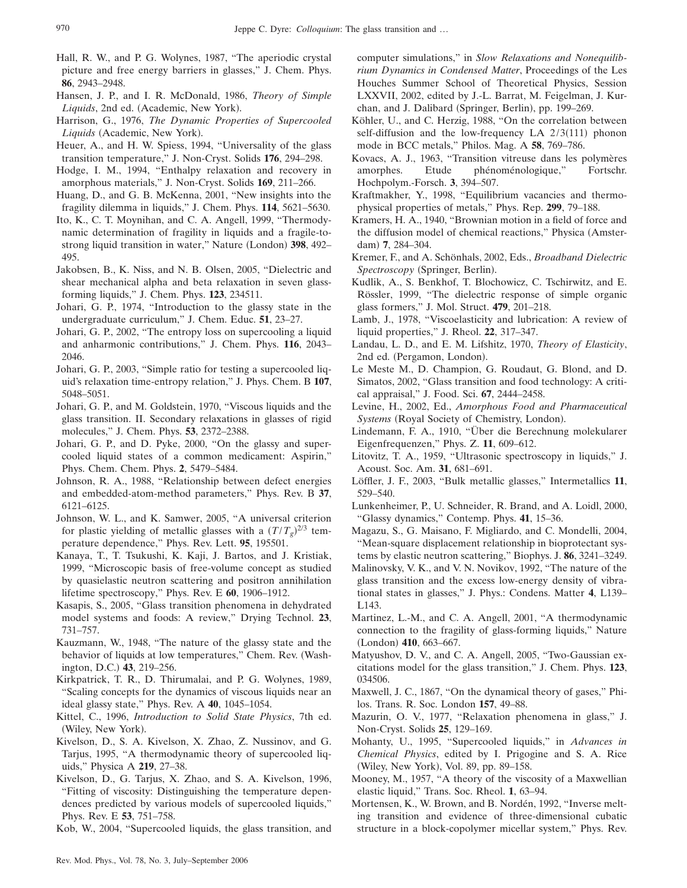- <span id="page-17-4"></span>Hall, R. W., and P. G. Wolynes, 1987, "The aperiodic crystal picture and free energy barriers in glasses," J. Chem. Phys. **86**, 2943–2948.
- <span id="page-17-11"></span>Hansen, J. P., and I. R. McDonald, 1986, *Theory of Simple* Liquids, 2nd ed. (Academic, New York).
- <span id="page-17-8"></span>Harrison, G., 1976, *The Dynamic Properties of Supercooled* Liquids (Academic, New York).
- <span id="page-17-34"></span>Heuer, A., and H. W. Spiess, 1994, "Universality of the glass transition temperature," J. Non-Cryst. Solids **176**, 294–298.
- <span id="page-17-18"></span>Hodge, I. M., 1994, "Enthalpy relaxation and recovery in amorphous materials," J. Non-Cryst. Solids **169**, 211–266.
- <span id="page-17-41"></span>Huang, D., and G. B. McKenna, 2001, "New insights into the fragility dilemma in liquids," J. Chem. Phys. **114**, 5621–5630.
- <span id="page-17-40"></span>Ito, K., C. T. Moynihan, and C. A. Angell, 1999, "Thermodynamic determination of fragility in liquids and a fragile-tostrong liquid transition in water," Nature (London) 398, 492-495.
- <span id="page-17-15"></span>Jakobsen, B., K. Niss, and N. B. Olsen, 2005, "Dielectric and shear mechanical alpha and beta relaxation in seven glassforming liquids," J. Chem. Phys. **123**, 234511.
- Johari, G. P., 1974, "Introduction to the glassy state in the undergraduate curriculum," J. Chem. Educ. **51**, 23–27.
- <span id="page-17-21"></span>Johari, G. P., 2002, "The entropy loss on supercooling a liquid and anharmonic contributions," J. Chem. Phys. **116**, 2043– 2046.
- <span id="page-17-22"></span>Johari, G. P., 2003, "Simple ratio for testing a supercooled liquid's relaxation time-entropy relation," J. Phys. Chem. B **107**, 5048–5051.
- <span id="page-17-10"></span>Johari, G. P., and M. Goldstein, 1970, "Viscous liquids and the glass transition. II. Secondary relaxations in glasses of rigid molecules," J. Chem. Phys. **53**, 2372–2388.
- <span id="page-17-0"></span>Johari, G. P., and D. Pyke, 2000, "On the glassy and supercooled liquid states of a common medicament: Aspirin," Phys. Chem. Chem. Phys. **2**, 5479–5484.
- <span id="page-17-43"></span>Johnson, R. A., 1988, "Relationship between defect energies and embedded-atom-method parameters," Phys. Rev. B **37**, 6121–6125.
- <span id="page-17-44"></span>Johnson, W. L., and K. Samwer, 2005, "A universal criterion for plastic yielding of metallic glasses with a  $(T/T_g)^{2/3}$  temperature dependence," Phys. Rev. Lett. **95**, 195501.
- <span id="page-17-35"></span>Kanaya, T., T. Tsukushi, K. Kaji, J. Bartos, and J. Kristiak, 1999, "Microscopic basis of free-volume concept as studied by quasielastic neutron scattering and positron annihilation lifetime spectroscopy," Phys. Rev. E **60**, 1906–1912.
- <span id="page-17-3"></span>Kasapis, S., 2005, "Glass transition phenomena in dehydrated model systems and foods: A review," Drying Technol. **23**, 731–757.
- <span id="page-17-7"></span>Kauzmann, W., 1948, "The nature of the glassy state and the behavior of liquids at low temperatures," Chem. Rev. Washington, D.C.) **43**, 219-256.
- <span id="page-17-19"></span>Kirkpatrick, T. R., D. Thirumalai, and P. G. Wolynes, 1989, "Scaling concepts for the dynamics of viscous liquids near an ideal glassy state," Phys. Rev. A **40**, 1045–1054.
- <span id="page-17-25"></span>Kittel, C., 1996, *Introduction to Solid State Physics*, 7th ed. (Wiley, New York).
- <span id="page-17-29"></span>Kivelson, D., S. A. Kivelson, X. Zhao, Z. Nussinov, and G. Tarjus, 1995, "A thermodynamic theory of supercooled liquids," Physica A **219**, 27–38.
- <span id="page-17-17"></span>Kivelson, D., G. Tarjus, X. Zhao, and S. A. Kivelson, 1996, "Fitting of viscosity: Distinguishing the temperature dependences predicted by various models of supercooled liquids," Phys. Rev. E **53**, 751–758.

<span id="page-17-28"></span>Kob, W., 2004, "Supercooled liquids, the glass transition, and

computer simulations," in *Slow Relaxations and Nonequilibrium Dynamics in Condensed Matter*, Proceedings of the Les Houches Summer School of Theoretical Physics, Session LXXVII, 2002, edited by J.-L. Barrat, M. Feigelman, J. Kurchan, and J. Dalibard (Springer, Berlin), pp. 199-269.

- <span id="page-17-31"></span>Köhler, U., and C. Herzig, 1988, "On the correlation between self-diffusion and the low-frequency  $LA$   $2/3(111)$  phonon mode in BCC metals," Philos. Mag. A **58**, 769–786.
- <span id="page-17-27"></span>Kovacs, A. J., 1963, "Transition vitreuse dans les polymères amorphes. Etude phénoménologique," Fortschr. Hochpolym.-Forsch. **3**, 394–507.
- <span id="page-17-42"></span>Kraftmakher, Y., 1998, "Equilibrium vacancies and thermophysical properties of metals," Phys. Rep. **299**, 79–188.
- <span id="page-17-30"></span>Kramers, H. A., 1940, "Brownian motion in a field of force and the diffusion model of chemical reactions," Physica (Amsterdam) 7, 284-304.
- <span id="page-17-14"></span>Kremer, F., and A. Schönhals, 2002, Eds., *Broadband Dielectric* Spectroscopy (Springer, Berlin).
- <span id="page-17-12"></span>Kudlik, A., S. Benkhof, T. Blochowicz, C. Tschirwitz, and E. Rössler, 1999, "The dielectric response of simple organic glass formers," J. Mol. Struct. **479**, 201–218.
- <span id="page-17-6"></span>Lamb, J., 1978, "Viscoelasticity and lubrication: A review of liquid properties," J. Rheol. **22**, 317–347.
- <span id="page-17-33"></span>Landau, L. D., and E. M. Lifshitz, 1970, *Theory of Elasticity*, 2nd ed. (Pergamon, London).
- <span id="page-17-1"></span>Le Meste M., D. Champion, G. Roudaut, G. Blond, and D. Simatos, 2002, "Glass transition and food technology: A critical appraisal," J. Food. Sci. **67**, 2444–2458.
- <span id="page-17-2"></span>Levine, H., 2002, Ed., *Amorphous Food and Pharmaceutical* Systems (Royal Society of Chemistry, London).
- <span id="page-17-37"></span>Lindemann, F. A., 1910, "Über die Berechnung molekularer Eigenfrequenzen," Phys. Z. **11**, 609–612.
- <span id="page-17-23"></span>Litovitz, T. A., 1959, "Ultrasonic spectroscopy in liquids," J. Acoust. Soc. Am. **31**, 681–691.
- <span id="page-17-9"></span>Löffler, J. F., 2003, "Bulk metallic glasses," Intermetallics **11**, 529–540.
- <span id="page-17-13"></span>Lunkenheimer, P., U. Schneider, R. Brand, and A. Loidl, 2000, "Glassy dynamics," Contemp. Phys. **41**, 15–36.
- <span id="page-17-36"></span>Magazu, S., G. Maisano, F. Migliardo, and C. Mondelli, 2004, "Mean-square displacement relationship in bioprotectant systems by elastic neutron scattering," Biophys. J. **86**, 3241–3249.
- <span id="page-17-38"></span>Malinovsky, V. K., and V. N. Novikov, 1992, "The nature of the glass transition and the excess low-energy density of vibrational states in glasses," J. Phys.: Condens. Matter **4**, L139– L143.
- <span id="page-17-26"></span>Martinez, L.-M., and C. A. Angell, 2001, "A thermodynamic connection to the fragility of glass-forming liquids," Nature (London) 410, 663-667.
- <span id="page-17-20"></span>Matyushov, D. V., and C. A. Angell, 2005, "Two-Gaussian excitations model for the glass transition," J. Chem. Phys. **123**, 034506.
- <span id="page-17-5"></span>Maxwell, J. C., 1867, "On the dynamical theory of gases," Philos. Trans. R. Soc. London **157**, 49–88.
- <span id="page-17-16"></span>Mazurin, O. V., 1977, "Relaxation phenomena in glass," J. Non-Cryst. Solids **25**, 129–169.
- <span id="page-17-39"></span>Mohanty, U., 1995, "Supercooled liquids," in *Advances in Chemical Physics*, edited by I. Prigogine and S. A. Rice (Wiley, New York), Vol. 89, pp. 89-158.
- <span id="page-17-32"></span>Mooney, M., 1957, "A theory of the viscosity of a Maxwellian elastic liquid," Trans. Soc. Rheol. **1**, 63–94.
- <span id="page-17-24"></span>Mortensen, K., W. Brown, and B. Nordén, 1992, "Inverse melting transition and evidence of three-dimensional cubatic structure in a block-copolymer micellar system," Phys. Rev.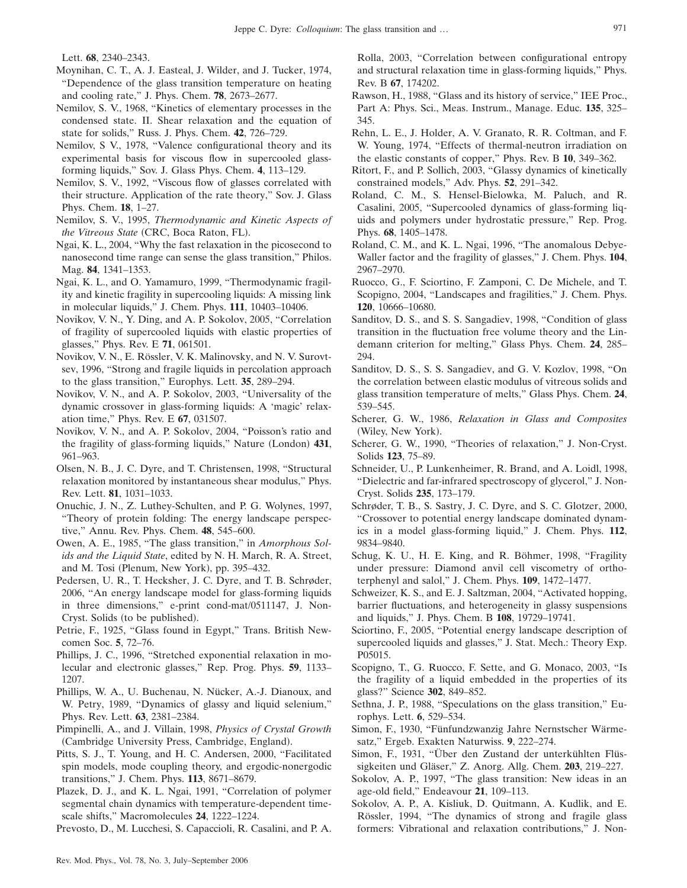Lett. **68**, 2340–2343.

- <span id="page-18-2"></span>Moynihan, C. T., A. J. Easteal, J. Wilder, and J. Tucker, 1974, "Dependence of the glass transition temperature on heating and cooling rate," J. Phys. Chem. **78**, 2673–2677.
- <span id="page-18-30"></span>Nemilov, S. V., 1968, "Kinetics of elementary processes in the condensed state. II. Shear relaxation and the equation of state for solids," Russ. J. Phys. Chem. **42**, 726–729.
- <span id="page-18-19"></span>Nemilov, S V., 1978, "Valence configurational theory and its experimental basis for viscous flow in supercooled glassforming liquids," Sov. J. Glass Phys. Chem. **4**, 113–129.
- <span id="page-18-31"></span>Nemilov, S. V., 1992, "Viscous flow of glasses correlated with their structure. Application of the rate theory," Sov. J. Glass Phys. Chem. **18**, 1–27.
- <span id="page-18-6"></span>Nemilov, S. V., 1995, *Thermodynamic and Kinetic Aspects of* the Vitreous State (CRC, Boca Raton, FL).
- <span id="page-18-29"></span>Ngai, K. L., 2004, "Why the fast relaxation in the picosecond to nanosecond time range can sense the glass transition," Philos. Mag. **84**, 1341–1353.
- <span id="page-18-36"></span>Ngai, K. L., and O. Yamamuro, 1999, "Thermodynamic fragility and kinetic fragility in supercooling liquids: A missing link in molecular liquids," J. Chem. Phys. **111**, 10403–10406.
- <span id="page-18-40"></span>Novikov, V. N., Y. Ding, and A. P. Sokolov, 2005, "Correlation of fragility of supercooled liquids with elastic properties of glasses," Phys. Rev. E **71**, 061501.
- <span id="page-18-27"></span>Novikov, V. N., E. Rössler, V. K. Malinovsky, and N. V. Surovtsev, 1996, "Strong and fragile liquids in percolation approach to the glass transition," Europhys. Lett. **35**, 289–294.
- <span id="page-18-35"></span>Novikov, V. N., and A. P. Sokolov, 2003, "Universality of the dynamic crossover in glass-forming liquids: A 'magic' relaxation time," Phys. Rev. E **67**, 031507.
- <span id="page-18-38"></span>Novikov, V. N., and A. P. Sokolov, 2004, "Poisson's ratio and the fragility of glass-forming liquids," Nature (London) 431, 961–963.
- <span id="page-18-41"></span>Olsen, N. B., J. C. Dyre, and T. Christensen, 1998, "Structural relaxation monitored by instantaneous shear modulus," Phys. Rev. Lett. **81**, 1031–1033.
- <span id="page-18-33"></span>Onuchic, J. N., Z. Luthey-Schulten, and P. G. Wolynes, 1997, "Theory of protein folding: The energy landscape perspective," Annu. Rev. Phys. Chem. **48**, 545–600.
- <span id="page-18-1"></span>Owen, A. E., 1985, "The glass transition," in *Amorphous Solids and the Liquid State*, edited by N. H. March, R. A. Street, and M. Tosi (Plenum, New York), pp. 395-432.
- <span id="page-18-23"></span>Pedersen, U. R., T. Hecksher, J. C. Dyre, and T. B. Schrøder, 2006, "An energy landscape model for glass-forming liquids in three dimensions," e-print cond-mat/0511147, J. Non-Cryst. Solids (to be published).
- <span id="page-18-0"></span>Petrie, F., 1925, "Glass found in Egypt," Trans. British Newcomen Soc. **5**, 72–76.
- <span id="page-18-9"></span>Phillips, J. C., 1996, "Stretched exponential relaxation in molecular and electronic glasses," Rep. Prog. Phys. **59**, 1133– 1207.
- <span id="page-18-12"></span>Phillips, W. A., U. Buchenau, N. Nücker, A.-J. Dianoux, and W. Petry, 1989, "Dynamics of glassy and liquid selenium," Phys. Rev. Lett. **63**, 2381–2384.
- <span id="page-18-7"></span>Pimpinelli, A., and J. Villain, 1998, *Physics of Crystal Growth* (Cambridge University Press, Cambridge, England).
- <span id="page-18-21"></span>Pitts, S. J., T. Young, and H. C. Andersen, 2000, "Facilitated spin models, mode coupling theory, and ergodic-nonergodic transitions," J. Chem. Phys. **113**, 8671–8679.
- <span id="page-18-15"></span>Plazek, D. J., and K. L. Ngai, 1991, "Correlation of polymer segmental chain dynamics with temperature-dependent timescale shifts," Macromolecules **24**, 1222–1224.

<span id="page-18-18"></span>Prevosto, D., M. Lucchesi, S. Capaccioli, R. Casalini, and P. A.

Rolla, 2003, "Correlation between configurational entropy and structural relaxation time in glass-forming liquids," Phys. Rev. B **67**, 174202.

- <span id="page-18-11"></span>Rawson, H., 1988, "Glass and its history of service," IEE Proc., Part A: Phys. Sci., Meas. Instrum., Manage. Educ. **135**, 325– 345.
- <span id="page-18-39"></span>Rehn, L. E., J. Holder, A. V. Granato, R. R. Coltman, and F. W. Young, 1974, "Effects of thermal-neutron irradiation on the elastic constants of copper," Phys. Rev. B **10**, 349–362.
- <span id="page-18-22"></span>Ritort, F., and P. Sollich, 2003, "Glassy dynamics of kinetically constrained models," Adv. Phys. **52**, 291–342.
- <span id="page-18-42"></span>Roland, C. M., S. Hensel-Bielowka, M. Paluch, and R. Casalini, 2005, "Supercooled dynamics of glass-forming liquids and polymers under hydrostatic pressure," Rep. Prog. Phys. **68**, 1405–1478.
- <span id="page-18-28"></span>Roland, C. M., and K. L. Ngai, 1996, "The anomalous Debye-Waller factor and the fragility of glasses," J. Chem. Phys. **104**, 2967–2970.
- <span id="page-18-16"></span>Ruocco, G., F. Sciortino, F. Zamponi, C. De Michele, and T. Scopigno, 2004, "Landscapes and fragilities," J. Chem. Phys. **120**, 10666–10680.
- <span id="page-18-34"></span>Sanditov, D. S., and S. S. Sangadiev, 1998, "Condition of glass transition in the fluctuation free volume theory and the Lindemann criterion for melting," Glass Phys. Chem. **24**, 285– 294.
- <span id="page-18-32"></span>Sanditov, D. S., S. S. Sangadiev, and G. V. Kozlov, 1998, "On the correlation between elastic modulus of vitreous solids and glass transition temperature of melts," Glass Phys. Chem. **24**, 539–545.
- <span id="page-18-5"></span>Scherer, G. W., 1986, *Relaxation in Glass and Composites* (Wiley, New York).
- <span id="page-18-8"></span>Scherer, G. W., 1990, "Theories of relaxation," J. Non-Cryst. Solids **123**, 75–89.
- <span id="page-18-10"></span>Schneider, U., P. Lunkenheimer, R. Brand, and A. Loidl, 1998, "Dielectric and far-infrared spectroscopy of glycerol," J. Non-Cryst. Solids **235**, 173–179.
- <span id="page-18-13"></span>Schrøder, T. B., S. Sastry, J. C. Dyre, and S. C. Glotzer, 2000, "Crossover to potential energy landscape dominated dynamics in a model glass-forming liquid," J. Chem. Phys. **112**, 9834–9840.
- <span id="page-18-17"></span>Schug, K. U., H. E. King, and R. Böhmer, 1998, "Fragility under pressure: Diamond anvil cell viscometry of orthoterphenyl and salol," J. Chem. Phys. **109**, 1472–1477.
- <span id="page-18-24"></span>Schweizer, K. S., and E. J. Saltzman, 2004, "Activated hopping, barrier fluctuations, and heterogeneity in glassy suspensions and liquids," J. Phys. Chem. B **108**, 19729–19741.
- <span id="page-18-14"></span>Sciortino, F., 2005, "Potential energy landscape description of supercooled liquids and glasses," J. Stat. Mech.: Theory Exp. P05015.
- <span id="page-18-37"></span>Scopigno, T., G. Ruocco, F. Sette, and G. Monaco, 2003, "Is the fragility of a liquid embedded in the properties of its glass?" Science **302**, 849–852.
- <span id="page-18-25"></span>Sethna, J. P., 1988, "Speculations on the glass transition," Europhys. Lett. **6**, 529–534.
- <span id="page-18-3"></span>Simon, F., 1930, "Fünfundzwanzig Jahre Nernstscher Wärmesatz," Ergeb. Exakten Naturwiss. **9**, 222–274.
- <span id="page-18-4"></span>Simon, F., 1931, "Über den Zustand der unterkühlten Flüssigkeiten und Gläser," Z. Anorg. Allg. Chem. **203**, 219–227.
- <span id="page-18-20"></span>Sokolov, A. P., 1997, "The glass transition: New ideas in an age-old field," Endeavour **21**, 109–113.
- <span id="page-18-26"></span>Sokolov, A. P., A. Kisliuk, D. Quitmann, A. Kudlik, and E. Rössler, 1994, "The dynamics of strong and fragile glass formers: Vibrational and relaxation contributions," J. Non-